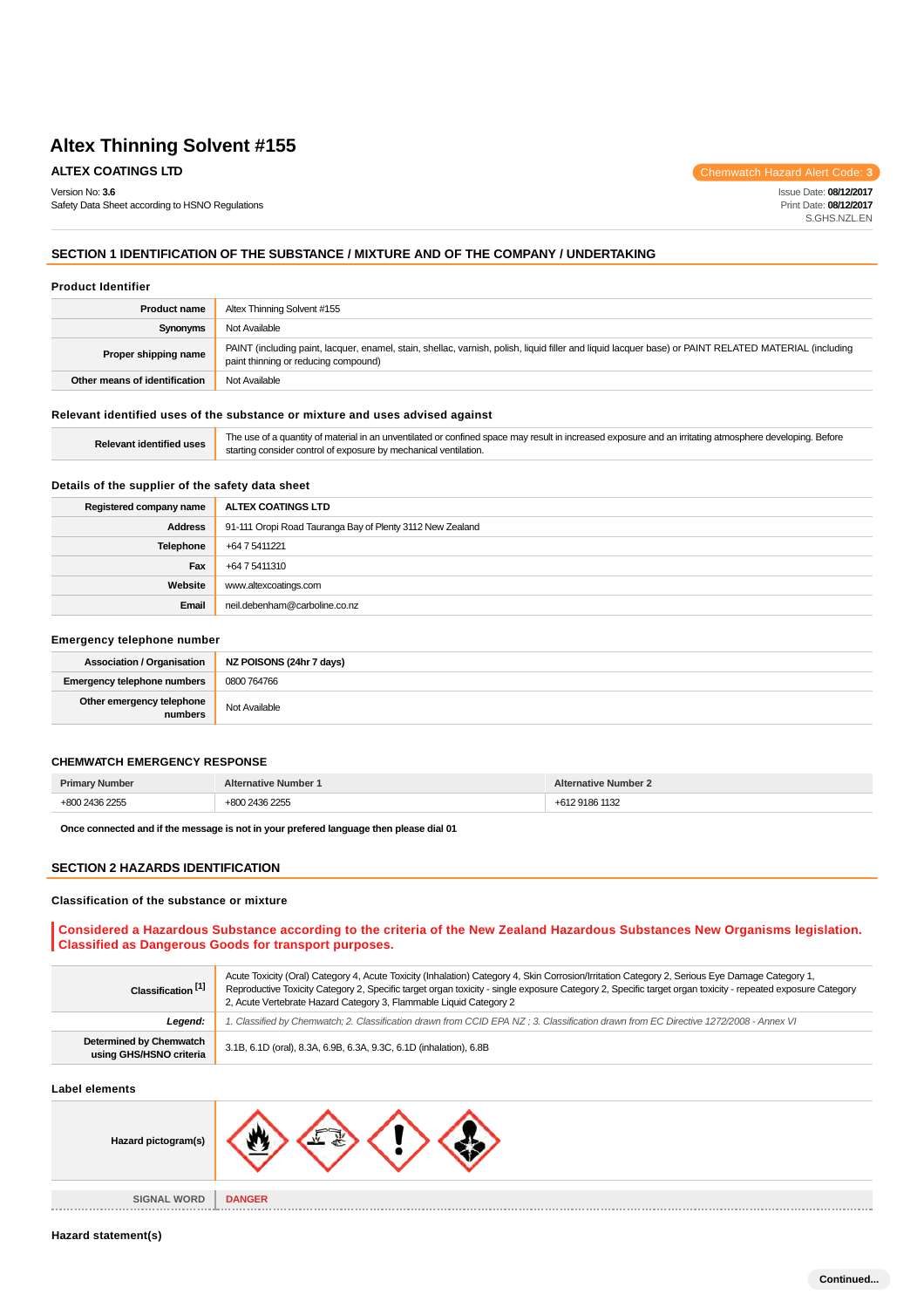Safety Data Sheet according to HSNO Regulations

**ALTEX COATINGS LTD** Chemwatch Hazard Alert Code: **3** 

Issue Date: **08/12/2017** Print Date: **08/12/2017** S.GHS.NZL.EN

# **SECTION 1 IDENTIFICATION OF THE SUBSTANCE / MIXTURE AND OF THE COMPANY / UNDERTAKING**

#### **Product Identifier**

Version No: **3.6**

| <b>Product name</b>           | Altex Thinning Solvent #155                                                                                                                                                                   |  |  |
|-------------------------------|-----------------------------------------------------------------------------------------------------------------------------------------------------------------------------------------------|--|--|
| Synonyms                      | Not Available                                                                                                                                                                                 |  |  |
| Proper shipping name          | PAINT (including paint, lacquer, enamel, stain, shellac, varnish, polish, liquid filler and liquid lacquer base) or PAINT RELATED MATERIAL (including<br>paint thinning or reducing compound) |  |  |
| Other means of identification | Not Available                                                                                                                                                                                 |  |  |

## **Relevant identified uses of the substance or mixture and uses advised against**

| <b>Relevant identified uses</b> | The use of a quantity of material in an unventilated or confined space may result in increased exposure and an irritating atmosphere developing. Before |
|---------------------------------|---------------------------------------------------------------------------------------------------------------------------------------------------------|
|                                 | starting consider control of exposure by mechanical ventilation.                                                                                        |

# **Details of the supplier of the safety data sheet**

| Registered company name | ALTEX COATINGS LTD                                        |  |  |
|-------------------------|-----------------------------------------------------------|--|--|
| <b>Address</b>          | 91-111 Oropi Road Tauranga Bay of Plenty 3112 New Zealand |  |  |
| Telephone               | +64 7 5411221                                             |  |  |
| Fax                     | +64 7 5411310                                             |  |  |
| Website                 | www.altexcoatings.com                                     |  |  |
| Email                   | neil.debenham@carboline.co.nz                             |  |  |

#### **Emergency telephone number**

| <b>Association / Organisation</b>    | NZ POISONS (24hr 7 days) |
|--------------------------------------|--------------------------|
| <b>Emergency telephone numbers</b>   | 0800 764766              |
| Other emergency telephone<br>numbers | Not Available            |

### **CHEMWATCH EMERGENCY RESPONSE**

| Dr.<br>LIIIIQ | Alte<br>lumber<br>$$ ative      | Alte<br>. uative "<br>llimner      |
|---------------|---------------------------------|------------------------------------|
|               | .00<br>$\overline{\phantom{a}}$ | $\sim$ $\sim$ $\sim$ $\sim$ $\sim$ |

**Once connected and if the message is not in your prefered language then please dial 01**

# **SECTION 2 HAZARDS IDENTIFICATION**

### **Classification of the substance or mixture**

**Considered a Hazardous Substance according to the criteria of the New Zealand Hazardous Substances New Organisms legislation. Classified as Dangerous Goods for transport purposes.**

| Classification <sup>[1]</sup>                      | Acute Toxicity (Oral) Category 4, Acute Toxicity (Inhalation) Category 4, Skin Corrosion/Irritation Category 2, Serious Eye Damage Category 1,<br>Reproductive Toxicity Category 2, Specific target organ toxicity - single exposure Category 2, Specific target organ toxicity - repeated exposure Category<br>2, Acute Vertebrate Hazard Category 3, Flammable Liquid Category 2 |  |
|----------------------------------------------------|------------------------------------------------------------------------------------------------------------------------------------------------------------------------------------------------------------------------------------------------------------------------------------------------------------------------------------------------------------------------------------|--|
| Legend:                                            | l. Classified by Chemwatch; 2. Classification drawn from CCID EPA NZ ; 3. Classification drawn from EC Directive 1272/2008 - Annex VI                                                                                                                                                                                                                                              |  |
| Determined by Chemwatch<br>using GHS/HSNO criteria | 3.1B, 6.1D (oral), 8.3A, 6.9B, 6.3A, 9.3C, 6.1D (inhalation), 6.8B                                                                                                                                                                                                                                                                                                                 |  |

#### **Label elements**

| Hazard pictogram(s) |               |
|---------------------|---------------|
| <b>SIGNAL WORD</b>  | <b>DANGER</b> |
| 世界開発                | .             |

#### **Hazard statement(s)**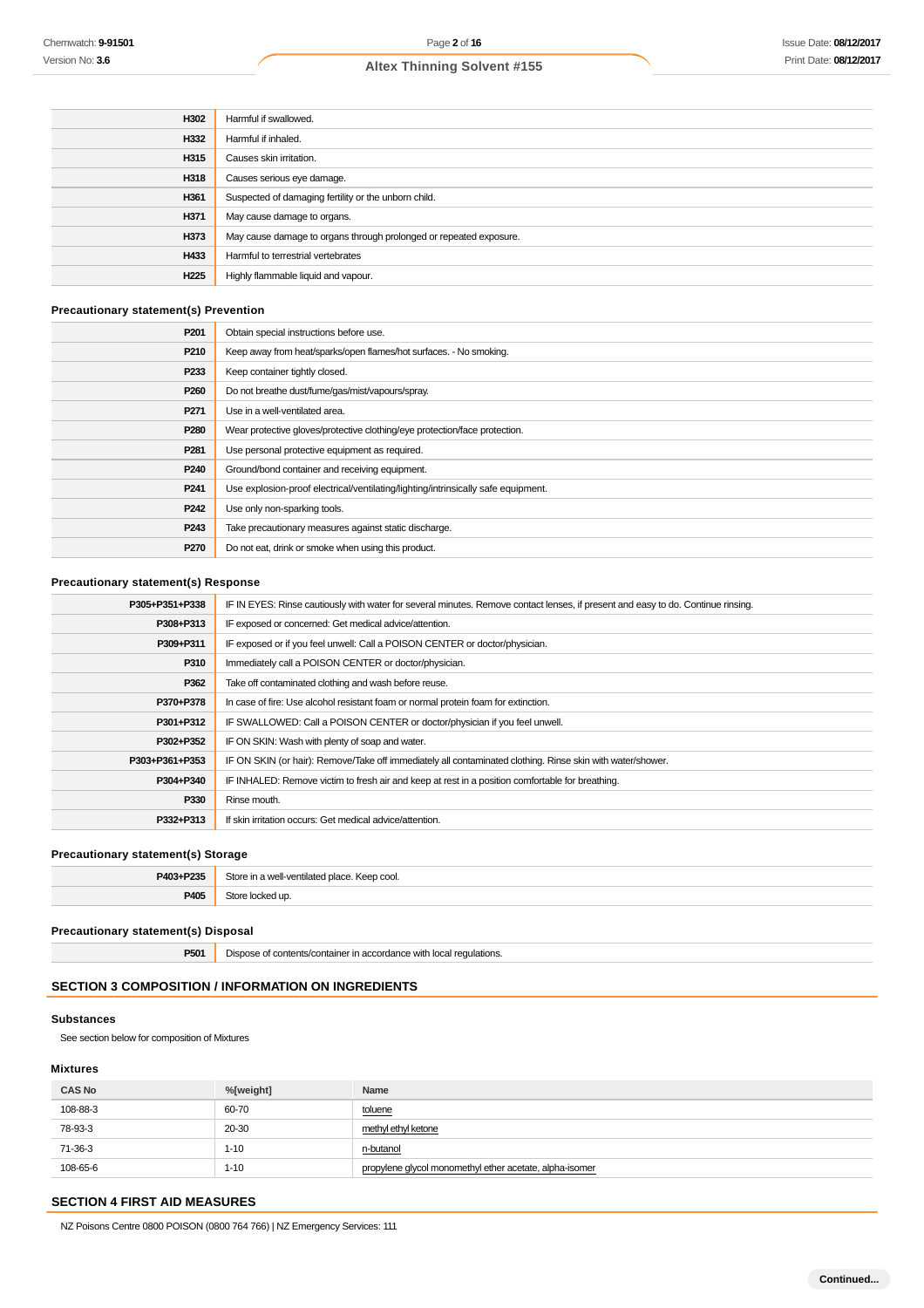| H302             | Harmful if swallowed.                                              |  |  |
|------------------|--------------------------------------------------------------------|--|--|
| H332             | Harmful if inhaled.                                                |  |  |
| H315             | Causes skin irritation.                                            |  |  |
| H318             | Causes serious eye damage.                                         |  |  |
| H361             | Suspected of damaging fertility or the unborn child.               |  |  |
| H371             | May cause damage to organs.                                        |  |  |
| H373             | May cause damage to organs through prolonged or repeated exposure. |  |  |
| H433             | Harmful to terrestrial vertebrates                                 |  |  |
| H <sub>225</sub> | Highly flammable liquid and vapour.                                |  |  |

# **Precautionary statement(s) Prevention**

| P <sub>201</sub> | Obtain special instructions before use.                                           |  |  |
|------------------|-----------------------------------------------------------------------------------|--|--|
| P210             | Keep away from heat/sparks/open flames/hot surfaces. - No smoking.                |  |  |
| P <sub>233</sub> | Keep container tightly closed.                                                    |  |  |
| P <sub>260</sub> | Do not breathe dust/fume/gas/mist/vapours/spray.                                  |  |  |
| P <sub>271</sub> | Use in a well-ventilated area.                                                    |  |  |
| P <sub>280</sub> | Wear protective gloves/protective clothing/eye protection/face protection.        |  |  |
| P <sub>281</sub> | Use personal protective equipment as required.                                    |  |  |
| P <sub>240</sub> | Ground/bond container and receiving equipment.                                    |  |  |
| P <sub>241</sub> | Use explosion-proof electrical/ventilating/lighting/intrinsically safe equipment. |  |  |
| P <sub>242</sub> | Use only non-sparking tools.                                                      |  |  |
| P <sub>243</sub> | Take precautionary measures against static discharge.                             |  |  |
| P <sub>270</sub> | Do not eat, drink or smoke when using this product.                               |  |  |

# **Precautionary statement(s) Response**

| P305+P351+P338 | IF IN EYES: Rinse cautiously with water for several minutes. Remove contact lenses, if present and easy to do. Continue rinsing. |  |  |
|----------------|----------------------------------------------------------------------------------------------------------------------------------|--|--|
| P308+P313      | IF exposed or concerned: Get medical advice/attention.                                                                           |  |  |
| P309+P311      | IF exposed or if you feel unwell: Call a POISON CENTER or doctor/physician.                                                      |  |  |
| P310           | Immediately call a POISON CENTER or doctor/physician.                                                                            |  |  |
| P362           | Take off contaminated clothing and wash before reuse.                                                                            |  |  |
| P370+P378      | In case of fire: Use alcohol resistant foam or normal protein foam for extinction.                                               |  |  |
| P301+P312      | IF SWALLOWED: Call a POISON CENTER or doctor/physician if you feel unwell.                                                       |  |  |
| P302+P352      | IF ON SKIN: Wash with plenty of soap and water.                                                                                  |  |  |
| P303+P361+P353 | IF ON SKIN (or hair): Remove/Take off immediately all contaminated clothing. Rinse skin with water/shower.                       |  |  |
| P304+P340      | IF INHALED: Remove victim to fresh air and keep at rest in a position comfortable for breathing.                                 |  |  |
| P330           | Rinse mouth.                                                                                                                     |  |  |
| P332+P313      | If skin irritation occurs: Get medical advice/attention.                                                                         |  |  |

## **Precautionary statement(s) Storage**

| <b>DA02.</b><br>. Do2E | 210<br>. Keep cool.<br>n moll-ventilated place. |  |
|------------------------|-------------------------------------------------|--|
| P405                   |                                                 |  |

## **Precautionary statement(s) Disposal**

**P501** Dispose of contents/container in accordance with local regulations.

# **SECTION 3 COMPOSITION / INFORMATION ON INGREDIENTS**

# **Substances**

See section below for composition of Mixtures

# **Mixtures**

| <b>CAS No</b> | %[weight] | Name                                                    |
|---------------|-----------|---------------------------------------------------------|
| 108-88-3      | 60-70     | toluene<br>__                                           |
| 78-93-3       | 20-30     | methyl ethyl ketone                                     |
| 71-36-3       | 1-10      | n-butanol                                               |
| 108-65-6      | 1-10      | propylene glycol monomethyl ether acetate, alpha-isomer |

# **SECTION 4 FIRST AID MEASURES**

NZ Poisons Centre 0800 POISON (0800 764 766) | NZ Emergency Services: 111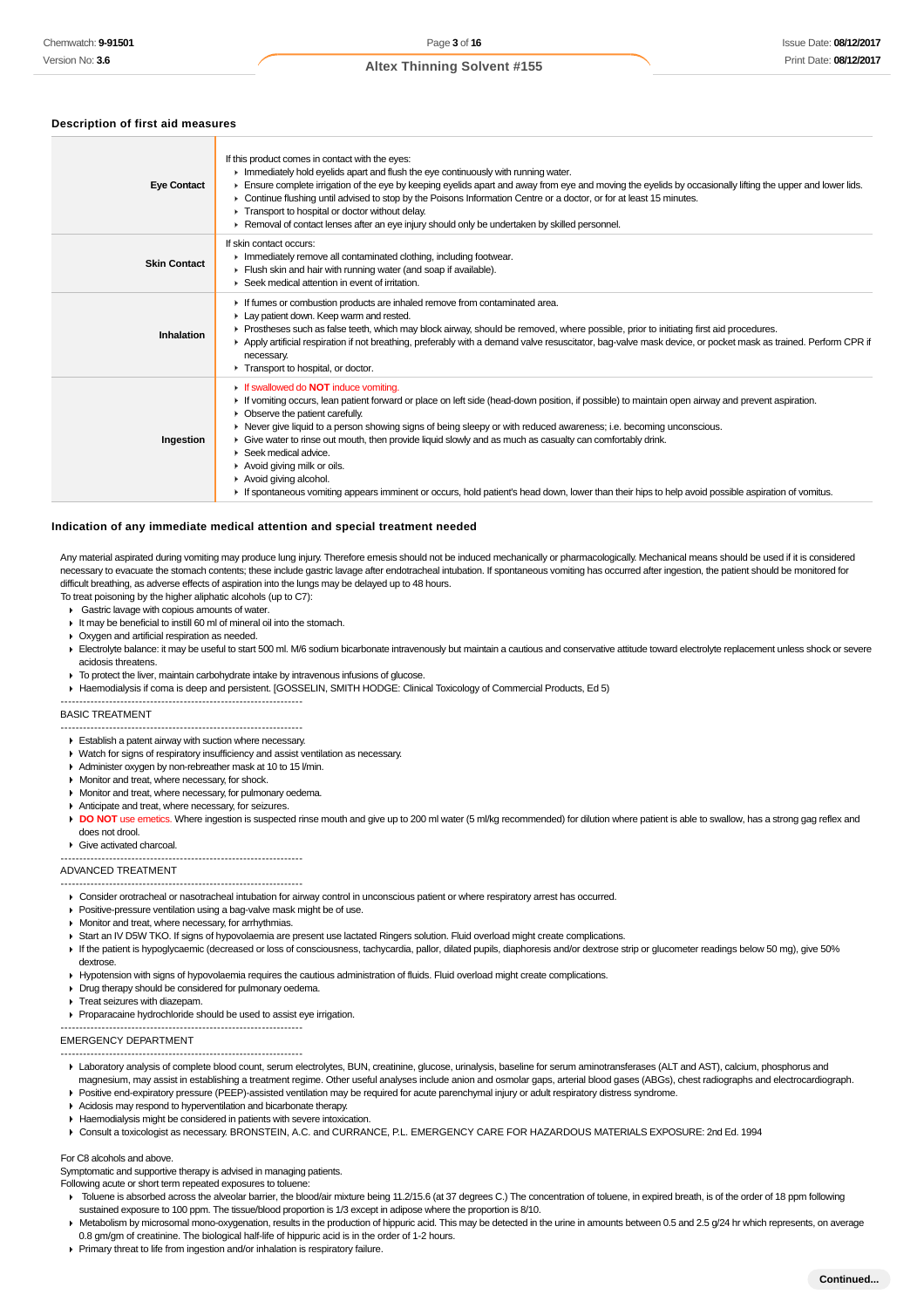### **Description of first aid measures**

| <b>Eye Contact</b>  | If this product comes in contact with the eyes:<br>In Immediately hold eyelids apart and flush the eye continuously with running water.<br>Ensure complete irrigation of the eye by keeping eyelids apart and away from eye and moving the eyelids by occasionally lifting the upper and lower lids.<br>► Continue flushing until advised to stop by the Poisons Information Centre or a doctor, or for at least 15 minutes.<br>Transport to hospital or doctor without delay.<br>▶ Removal of contact lenses after an eye injury should only be undertaken by skilled personnel.                                                                                                                                                |
|---------------------|----------------------------------------------------------------------------------------------------------------------------------------------------------------------------------------------------------------------------------------------------------------------------------------------------------------------------------------------------------------------------------------------------------------------------------------------------------------------------------------------------------------------------------------------------------------------------------------------------------------------------------------------------------------------------------------------------------------------------------|
| <b>Skin Contact</b> | If skin contact occurs:<br>Inmediately remove all contaminated clothing, including footwear.<br>Flush skin and hair with running water (and soap if available).<br>$\blacktriangleright$ Seek medical attention in event of irritation.                                                                                                                                                                                                                                                                                                                                                                                                                                                                                          |
| Inhalation          | If fumes or combustion products are inhaled remove from contaminated area.<br>Lay patient down. Keep warm and rested.<br>► Prostheses such as false teeth, which may block airway, should be removed, where possible, prior to initiating first aid procedures.<br>▶ Apply artificial respiration if not breathing, preferably with a demand valve resuscitator, bag-valve mask device, or pocket mask as trained. Perform CPR if<br>necessary.<br>Transport to hospital, or doctor.                                                                                                                                                                                                                                             |
| Ingestion           | If swallowed do <b>NOT</b> induce vomiting.<br>If vomiting occurs, lean patient forward or place on left side (head-down position, if possible) to maintain open airway and prevent aspiration.<br>• Observe the patient carefully.<br>▶ Never give liquid to a person showing signs of being sleepy or with reduced awareness; i.e. becoming unconscious.<br>Give water to rinse out mouth, then provide liquid slowly and as much as casualty can comfortably drink.<br>$\blacktriangleright$ Seek medical advice.<br>Avoid giving milk or oils.<br>Avoid giving alcohol.<br>If spontaneous vomiting appears imminent or occurs, hold patient's head down, lower than their hips to help avoid possible aspiration of vomitus. |

#### **Indication of any immediate medical attention and special treatment needed**

Any material aspirated during vomiting may produce lung injury. Therefore emesis should not be induced mechanically or pharmacologically. Mechanical means should be used if it is considered necessary to evacuate the stomach contents; these include gastric lavage after endotracheal intubation. If spontaneous vomiting has occurred after ingestion, the patient should be monitored for difficult breathing, as adverse effects of aspiration into the lungs may be delayed up to 48 hours.

- To treat poisoning by the higher aliphatic alcohols (up to C7):
- Gastric lavage with copious amounts of water It may be beneficial to instill 60 ml of mineral oil into the stomach.
- Oxygen and artificial respiration as needed.
- 
- Electrolyte balance: it may be useful to start 500 ml. M/6 sodium bicarbonate intravenously but maintain a cautious and conservative attitude toward electrolyte replacement unless shock or severe acidosis threatens.
- ▶ To protect the liver, maintain carbohydrate intake by intravenous infusions of glucose.
- Haemodialysis if coma is deep and persistent. [GOSSELIN, SMITH HODGE: Clinical Toxicology of Commercial Products, Ed 5)

#### BASIC TREATMENT

- ----------------------------------------------------------------- -----------------------------------------------------------------
- **Establish a patent airway with suction where necessary.**
- Watch for signs of respiratory insufficiency and assist ventilation as necessary
- Administer oxygen by non-rebreather mask at 10 to 15 l/min.
- **Monitor and treat, where necessary, for shock.**
- **Monitor and treat, where necessary, for pulmonary oedema.**
- Anticipate and treat, where necessary, for seizures.
- DO NOT use emetics. Where ingestion is suspected rinse mouth and give up to 200 ml water (5 ml/kg recommended) for dilution where patient is able to swallow, has a strong gag reflex and does not drool.
- Give activated charcoal.

# ----------------------------------------------------------------- -----------------------------------------------------------------

### ADVANCED TREATMENT

- Consider orotracheal or nasotracheal intubation for airway control in unconscious patient or where respiratory arrest has occurred.
- **Positive-pressure ventilation using a bag-valve mask might be of use.**
- **Monitor and treat, where necessary, for arrhythmias.**
- Start an IV D5W TKO. If signs of hypovolaemia are present use lactated Ringers solution. Fluid overload might create complications.
- If the patient is hypoglycaemic (decreased or loss of consciousness, tachycardia, pallor, dilated pupils, diaphoresis and/or dextrose strip or glucometer readings below 50 mg), give 50%
- dextrose.
- Hypotension with signs of hypovolaemia requires the cautious administration of fluids. Fluid overload might create complications.
- Drug therapy should be considered for pulmonary oedema.
- **Treat seizures with diazepam.**
- Proparacaine hydrochloride should be used to assist eye irrigation.

#### ----------------------------------------------------------------- EMERGENCY DEPARTMENT

- ----------------------------------------------------------------- Laboratory analysis of complete blood count, serum electrolytes, BUN, creatinine, glucose, urinalysis, baseline for serum aminotransferases (ALT and AST), calcium, phosphorus and magnesium, may assist in establishing a treatment regime. Other useful analyses include anion and osmolar gaps, arterial blood gases (ABGs), chest radiographs and electrocardiograph.
- Positive end-expiratory pressure (PEEP)-assisted ventilation may be required for acute parenchymal injury or adult respiratory distress syndrome.
- Acidosis may respond to hyperventilation and bicarbonate therapy.
- Haemodialysis might be considered in patients with severe intoxication.
- Consult a toxicologist as necessary. BRONSTEIN, A.C. and CURRANCE, P.L. EMERGENCY CARE FOR HAZARDOUS MATERIALS EXPOSURE: 2nd Ed. 1994

#### For C8 alcohols and above.

Symptomatic and supportive therapy is advised in managing patients.

- Following acute or short term repeated exposures to toluene:
- F Toluene is absorbed across the alveolar barrier, the blood/air mixture being 11.2/15.6 (at 37 degrees C.) The concentration of toluene, in expired breath, is of the order of 18 ppm following sustained exposure to 100 ppm. The tissue/blood proportion is 1/3 except in adipose where the proportion is 8/10.
- Metabolism by microsomal mono-oxygenation, results in the production of hippuric acid. This may be detected in the urine in amounts between 0.5 and 2.5 g/24 hr which represents, on average 0.8 gm/gm of creatinine. The biological half-life of hippuric acid is in the order of 1-2 hours.
- Primary threat to life from ingestion and/or inhalation is respiratory failure.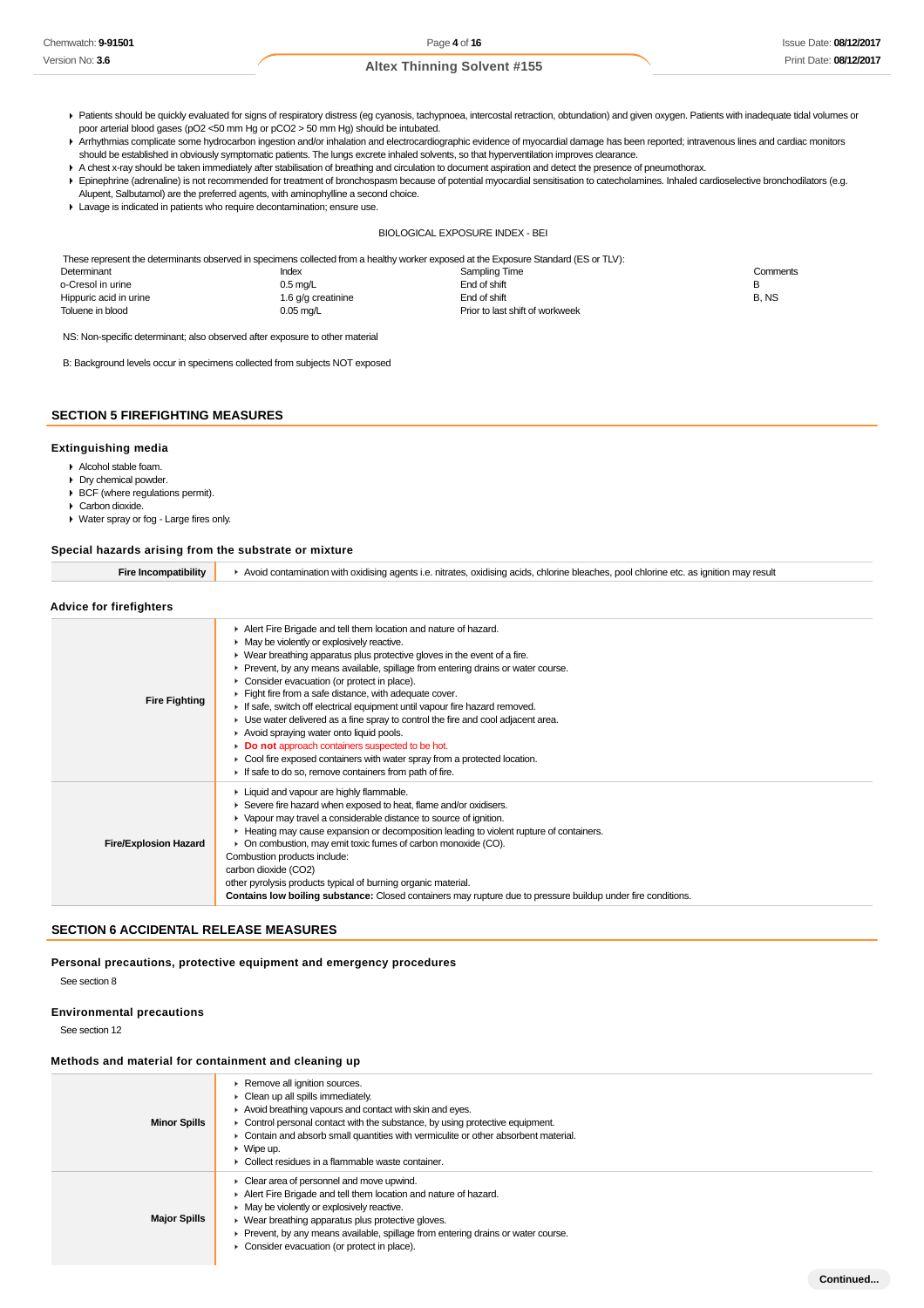- Patients should be quickly evaluated for signs of respiratory distress (eg cyanosis, tachypnoea, intercostal retraction, obtundation) and given oxygen. Patients with inadequate tidal volumes or poor arterial blood gases (pO2 <50 mm Hg or pCO2 > 50 mm Hg) should be intubated.
- Arrhythmias complicate some hydrocarbon ingestion and/or inhalation and electrocardiographic evidence of myocardial damage has been reported; intravenous lines and cardiac monitors should be established in obviously symptomatic patients. The lungs excrete inhaled solvents, so that hyperventilation improves clearance.
- A chest x-ray should be taken immediately after stabilisation of breathing and circulation to document aspiration and detect the presence of pneumothorax.
- Epinephrine (adrenaline) is not recommended for treatment of bronchospasm because of potential myocardial sensitisation to catecholamines. Inhaled cardioselective bronchodilators (e.g. Alupent, Salbutamol) are the preferred agents, with aminophylline a second choice.
- Lavage is indicated in patients who require decontamination; ensure use.

### BIOLOGICAL EXPOSURE INDEX - BEI

These represent the determinants observed in specimens collected from a healthy worker exposed at the Exposure Standard (ES or TLV):

| Determinant            | Index              | Sampling Time                   | Comments |
|------------------------|--------------------|---------------------------------|----------|
| o-Cresol in urine      | $0.5 \text{ mq/L}$ | End of shift                    |          |
| Hippuric acid in urine | 1.6 g/g creatinine | End of shift                    | B. NS    |
| Toluene in blood       | $0.05$ mg/L        | Prior to last shift of workweek |          |

NS: Non-specific determinant; also observed after exposure to other material

B: Background levels occur in specimens collected from subjects NOT exposed

## **SECTION 5 FIREFIGHTING MEASURES**

## **Extinguishing media**

- Alcohol stable foam.
- Dry chemical powder.
- BCF (where regulations permit).
- ▶ Carbon dioxide.
- Water spray or fog Large fires only.

### **Special hazards arising from the substrate or mixture**

|  | Fire Incompatibility   ▶ Avoid contamination with oxidising agents i.e. nitrates, oxidising acids, chlorine bleaches, pool chlorine etc. as ignition may result |
|--|-----------------------------------------------------------------------------------------------------------------------------------------------------------------|
|--|-----------------------------------------------------------------------------------------------------------------------------------------------------------------|

# **Advice for firefighters**

| <b>Fire Fighting</b>         | Alert Fire Brigade and tell them location and nature of hazard.<br>• May be violently or explosively reactive.<br>▶ Wear breathing apparatus plus protective gloves in the event of a fire.<br>► Prevent, by any means available, spillage from entering drains or water course.<br>• Consider evacuation (or protect in place).<br>Fight fire from a safe distance, with adequate cover.<br>If safe, switch off electrical equipment until vapour fire hazard removed.<br>• Use water delivered as a fine spray to control the fire and cool adjacent area.<br>Avoid spraying water onto liquid pools.<br>Do not approach containers suspected to be hot.<br>• Cool fire exposed containers with water spray from a protected location.<br>If safe to do so, remove containers from path of fire. |
|------------------------------|----------------------------------------------------------------------------------------------------------------------------------------------------------------------------------------------------------------------------------------------------------------------------------------------------------------------------------------------------------------------------------------------------------------------------------------------------------------------------------------------------------------------------------------------------------------------------------------------------------------------------------------------------------------------------------------------------------------------------------------------------------------------------------------------------|
| <b>Fire/Explosion Hazard</b> | Liquid and vapour are highly flammable.<br>Severe fire hazard when exposed to heat, flame and/or oxidisers.<br>• Vapour may travel a considerable distance to source of ignition.<br>► Heating may cause expansion or decomposition leading to violent rupture of containers.<br>• On combustion, may emit toxic fumes of carbon monoxide (CO).<br>Combustion products include:<br>carbon dioxide (CO2)<br>other pyrolysis products typical of burning organic material.<br><b>Contains low boiling substance:</b> Closed containers may rupture due to pressure buildup under fire conditions.                                                                                                                                                                                                    |

# **SECTION 6 ACCIDENTAL RELEASE MEASURES**

**Personal precautions, protective equipment and emergency procedures** See section 8

## **Environmental precautions**

See section 12

## **Methods and material for containment and cleaning up**

| <b>Minor Spills</b> | Remove all ignition sources.<br>• Clean up all spills immediately.<br>Avoid breathing vapours and contact with skin and eyes.<br>Control personal contact with the substance, by using protective equipment.<br>Contain and absorb small quantities with vermiculite or other absorbent material.<br>$\triangleright$ Wipe up.<br>▶ Collect residues in a flammable waste container. |
|---------------------|--------------------------------------------------------------------------------------------------------------------------------------------------------------------------------------------------------------------------------------------------------------------------------------------------------------------------------------------------------------------------------------|
| <b>Major Spills</b> | • Clear area of personnel and move upwind.<br>Alert Fire Brigade and tell them location and nature of hazard.<br>• May be violently or explosively reactive.<br>▶ Wear breathing apparatus plus protective gloves.<br>Prevent, by any means available, spillage from entering drains or water course.<br>• Consider evacuation (or protect in place).                                |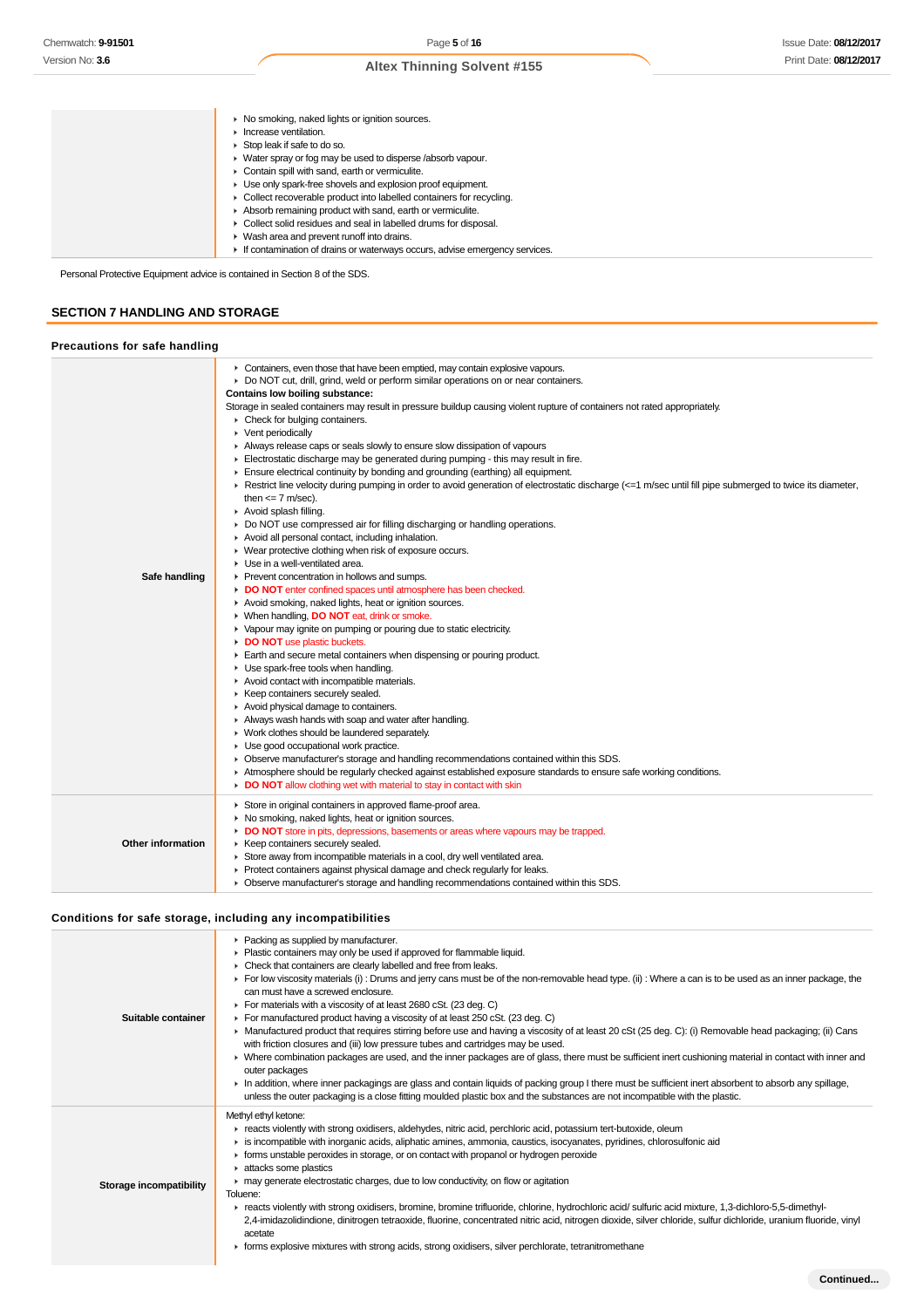▶ No smoking, naked lights or ignition sources. **Increase ventilation.** ► Stop leak if safe to do so. Water spray or fog may be used to disperse /absorb vapour. Contain spill with sand, earth or vermiculite. Use only spark-free shovels and explosion proof equipment. ► Collect recoverable product into labelled containers for recycling. Absorb remaining product with sand, earth or vermiculite. Collect solid residues and seal in labelled drums for disposal. Wash area and prevent runoff into drains. If contamination of drains or waterways occurs, advise emergency services.

Personal Protective Equipment advice is contained in Section 8 of the SDS.

# **SECTION 7 HANDLING AND STORAGE**

### **Precautions for safe handling**

| Safe handling            | • Containers, even those that have been emptied, may contain explosive vapours.<br>▶ Do NOT cut, drill, grind, weld or perform similar operations on or near containers.<br>Contains low boiling substance:<br>Storage in sealed containers may result in pressure buildup causing violent rupture of containers not rated appropriately.<br>• Check for bulging containers.<br>• Vent periodically<br>Always release caps or seals slowly to ensure slow dissipation of vapours<br>Electrostatic discharge may be generated during pumping - this may result in fire.<br>Ensure electrical continuity by bonding and grounding (earthing) all equipment.<br>F Restrict line velocity during pumping in order to avoid generation of electrostatic discharge (<=1 m/sec until fill pipe submerged to twice its diameter,<br>then $\leq$ 7 m/sec).<br>Avoid splash filling.<br>• Do NOT use compressed air for filling discharging or handling operations.<br>Avoid all personal contact, including inhalation.<br>• Wear protective clothing when risk of exposure occurs.<br>• Use in a well-ventilated area.<br>Prevent concentration in hollows and sumps.<br>DO NOT enter confined spaces until atmosphere has been checked.<br>Avoid smoking, naked lights, heat or ignition sources.<br>▶ When handling, DO NOT eat, drink or smoke.<br>• Vapour may ignite on pumping or pouring due to static electricity.<br>DO NOT use plastic buckets.<br>Earth and secure metal containers when dispensing or pouring product.<br>• Use spark-free tools when handling.<br>Avoid contact with incompatible materials.<br>▶ Keep containers securely sealed.<br>Avoid physical damage to containers.<br>Always wash hands with soap and water after handling.<br>• Work clothes should be laundered separately.<br>• Use good occupational work practice.<br>• Observe manufacturer's storage and handling recommendations contained within this SDS. |
|--------------------------|--------------------------------------------------------------------------------------------------------------------------------------------------------------------------------------------------------------------------------------------------------------------------------------------------------------------------------------------------------------------------------------------------------------------------------------------------------------------------------------------------------------------------------------------------------------------------------------------------------------------------------------------------------------------------------------------------------------------------------------------------------------------------------------------------------------------------------------------------------------------------------------------------------------------------------------------------------------------------------------------------------------------------------------------------------------------------------------------------------------------------------------------------------------------------------------------------------------------------------------------------------------------------------------------------------------------------------------------------------------------------------------------------------------------------------------------------------------------------------------------------------------------------------------------------------------------------------------------------------------------------------------------------------------------------------------------------------------------------------------------------------------------------------------------------------------------------------------------------------------------------------------------------------------------------------------------------|
|                          | Atmosphere should be regularly checked against established exposure standards to ensure safe working conditions.<br>DO NOT allow clothing wet with material to stay in contact with skin                                                                                                                                                                                                                                                                                                                                                                                                                                                                                                                                                                                                                                                                                                                                                                                                                                                                                                                                                                                                                                                                                                                                                                                                                                                                                                                                                                                                                                                                                                                                                                                                                                                                                                                                                         |
| <b>Other information</b> | Store in original containers in approved flame-proof area.<br>• No smoking, naked lights, heat or ignition sources.<br>DO NOT store in pits, depressions, basements or areas where vapours may be trapped.<br>▶ Keep containers securely sealed.<br>Store away from incompatible materials in a cool, dry well ventilated area.<br>Protect containers against physical damage and check regularly for leaks.<br>▶ Observe manufacturer's storage and handling recommendations contained within this SDS.                                                                                                                                                                                                                                                                                                                                                                                                                                                                                                                                                                                                                                                                                                                                                                                                                                                                                                                                                                                                                                                                                                                                                                                                                                                                                                                                                                                                                                         |

# **Conditions for safe storage, including any incompatibilities**

| Suitable container      | • Packing as supplied by manufacturer.<br>• Plastic containers may only be used if approved for flammable liquid.<br>• Check that containers are clearly labelled and free from leaks.<br>For low viscosity materials (i): Drums and jerry cans must be of the non-removable head type. (ii): Where a can is to be used as an inner package, the<br>can must have a screwed enclosure.<br>For materials with a viscosity of at least 2680 cSt. (23 deg. C)<br>For manufactured product having a viscosity of at least 250 cSt. (23 deg. C)<br>► Manufactured product that requires stirring before use and having a viscosity of at least 20 cSt (25 deg. C): (i) Removable head packaging; (ii) Cans<br>with friction closures and (iii) low pressure tubes and cartridges may be used.<br>> Where combination packages are used, and the inner packages are of glass, there must be sufficient inert cushioning material in contact with inner and<br>outer packages<br>In addition, where inner packagings are glass and contain liquids of packing group I there must be sufficient inert absorbent to absorb any spillage,<br>unless the outer packaging is a close fitting moulded plastic box and the substances are not incompatible with the plastic. |
|-------------------------|----------------------------------------------------------------------------------------------------------------------------------------------------------------------------------------------------------------------------------------------------------------------------------------------------------------------------------------------------------------------------------------------------------------------------------------------------------------------------------------------------------------------------------------------------------------------------------------------------------------------------------------------------------------------------------------------------------------------------------------------------------------------------------------------------------------------------------------------------------------------------------------------------------------------------------------------------------------------------------------------------------------------------------------------------------------------------------------------------------------------------------------------------------------------------------------------------------------------------------------------------------------|
| Storage incompatibility | Methyl ethyl ketone:<br>F reacts violently with strong oxidisers, aldehydes, nitric acid, perchloric acid, potassium tert-butoxide, oleum<br>is incompatible with inorganic acids, aliphatic amines, ammonia, caustics, isocyanates, pyridines, chlorosulfonic aid<br>• forms unstable peroxides in storage, or on contact with propanol or hydrogen peroxide<br>A attacks some plastics<br>• may generate electrostatic charges, due to low conductivity, on flow or agitation<br>Toluene:<br>F reacts violently with strong oxidisers, bromine, bromine trifluoride, chlorine, hydrochloric acid/ sulfuric acid mixture, 1,3-dichloro-5,5-dimethyl-<br>2,4-imidazolidindione, dinitrogen tetraoxide, fluorine, concentrated nitric acid, nitrogen dioxide, silver chloride, sulfur dichloride, uranium fluoride, vinyl<br>acetate<br>• forms explosive mixtures with strong acids, strong oxidisers, silver perchlorate, tetranitromethane                                                                                                                                                                                                                                                                                                                   |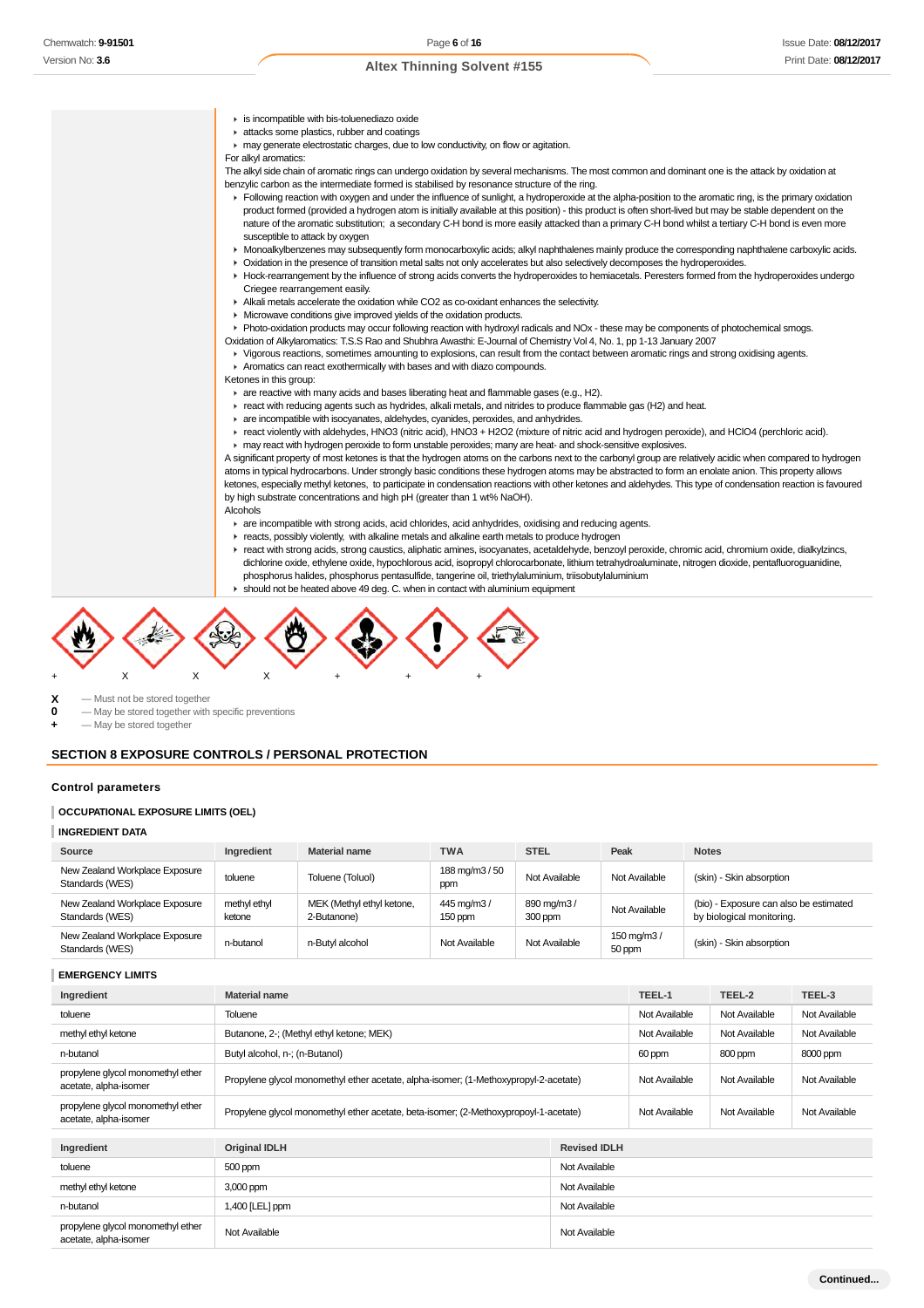- is incompatible with bis-toluenediazo oxide **F** attacks some plastics, rubber and coatings may generate electrostatic charges, due to low conductivity, on flow or agitation. For alkyl aromatics: The alkyl side chain of aromatic rings can undergo oxidation by several mechanisms. The most common and dominant one is the attack by oxidation at benzylic carbon as the intermediate formed is stabilised by resonance structure of the ring. F Following reaction with oxygen and under the influence of sunlight, a hydroperoxide at the alpha-position to the aromatic ring, is the primary oxidation product formed (provided a hydrogen atom is initially available at this position) - this product is often short-lived but may be stable dependent on the nature of the aromatic substitution; a secondary C-H bond is more easily attacked than a primary C-H bond whilst a tertiary C-H bond is even more susceptible to attack by oxygen Monoalkylbenzenes may subsequently form monocarboxylic acids; alkyl naphthalenes mainly produce the corresponding naphthalene carboxylic acids. Oxidation in the presence of transition metal salts not only accelerates but also selectively decomposes the hydroperoxides. Hock-rearrangement by the influence of strong acids converts the hydroperoxides to hemiacetals. Peresters formed from the hydroperoxides undergo Criegee rearrangement easily. Alkali metals accelerate the oxidation while CO2 as co-oxidant enhances the selectivity. Microwave conditions give improved yields of the oxidation products. Photo-oxidation products may occur following reaction with hydroxyl radicals and NOx - these may be components of photochemical smogs. Oxidation of Alkylaromatics: T.S.S Rao and Shubhra Awasthi: E-Journal of Chemistry Vol 4, No. 1, pp 1-13 January 2007 Vigorous reactions, sometimes amounting to explosions, can result from the contact between aromatic rings and strong oxidising agents. Aromatics can react exothermically with bases and with diazo compounds. Ketones in this group: are reactive with many acids and bases liberating heat and flammable gases (e.g., H2). react with reducing agents such as hydrides, alkali metals, and nitrides to produce flammable gas (H2) and heat. are incompatible with isocyanates, aldehydes, cyanides, peroxides, and anhydrides. react violently with aldehydes, HNO3 (nitric acid), HNO3 + H2O2 (mixture of nitric acid and hydrogen peroxide), and HClO4 (perchloric acid). may react with hydrogen peroxide to form unstable peroxides; many are heat- and shock-sensitive explosives. A significant property of most ketones is that the hydrogen atoms on the carbons next to the carbonyl group are relatively acidic when compared to hydrogen atoms in typical hydrocarbons. Under strongly basic conditions these hydrogen atoms may be abstracted to form an enolate anion. This property allows ketones, especially methyl ketones, to participate in condensation reactions with other ketones and aldehydes. This type of condensation reaction is favoured by high substrate concentrations and high pH (greater than 1 wt% NaOH). Alcohols are incompatible with strong acids, acid chlorides, acid anhydrides, oxidising and reducing agents. reacts, possibly violently, with alkaline metals and alkaline earth metals to produce hydrogen react with strong acids, strong caustics, aliphatic amines, isocyanates, acetaldehyde, benzoyl peroxide, chromic acid, chromium oxide, dialkylzincs, dichlorine oxide, ethylene oxide, hypochlorous acid, isopropyl chlorocarbonate, lithium tetrahydroaluminate, nitrogen dioxide, pentafluoroguanidine, phosphorus halides, phosphorus pentasulfide, tangerine oil, triethylaluminium, triisobutylaluminium
	- should not be heated above 49 deg. C. when in contact with aluminium equipment



**X** — Must not be stored together

- **0** May be stored together with specific preventions
- **+** May be stored together

# **SECTION 8 EXPOSURE CONTROLS / PERSONAL PROTECTION**

#### **Control parameters**

#### **OCCUPATIONAL EXPOSURE LIMITS (OEL)**

#### **INGREDIENT DATA**

| Source                                            | Ingredient             | <b>Material name</b>                     | <b>TWA</b>            | <b>STEL</b>           | Peak                    | <b>Notes</b>                                                        |
|---------------------------------------------------|------------------------|------------------------------------------|-----------------------|-----------------------|-------------------------|---------------------------------------------------------------------|
| New Zealand Workplace Exposure<br>Standards (WES) | toluene                | Toluene (Toluol)                         | 188 mg/m3 / 50<br>ppm | Not Available         | Not Available           | (skin) - Skin absorption                                            |
| New Zealand Workplace Exposure<br>Standards (WES) | methyl ethyl<br>ketone | MEK (Methyl ethyl ketone,<br>2-Butanone) | 445 mg/m3/<br>150 ppm | 890 mg/m3/<br>300 ppm | Not Available           | (bio) - Exposure can also be estimated<br>by biological monitoring. |
| New Zealand Workplace Exposure<br>Standards (WES) | n-butanol              | n-Butyl alcohol                          | Not Available         | Not Available         | 150 mg/m $3/$<br>50 ppm | (skin) - Skin absorption                                            |

### **EMERGENCY LIMITS**

| Ingredient                                                 | <b>Material name</b>                                                                 | TEEL-1        | TEEL-2        | TEEL-3        |               |
|------------------------------------------------------------|--------------------------------------------------------------------------------------|---------------|---------------|---------------|---------------|
| toluene                                                    | Toluene                                                                              |               | Not Available | Not Available | Not Available |
| methyl ethyl ketone                                        | Butanone, 2-; (Methyl ethyl ketone; MEK)                                             |               | Not Available | Not Available | Not Available |
| n-butanol                                                  | Butyl alcohol, n-; (n-Butanol)                                                       |               | 60 ppm        | 800 ppm       | 8000 ppm      |
| propylene glycol monomethyl ether<br>acetate, alpha-isomer | Propylene glycol monomethyl ether acetate, alpha-isomer; (1-Methoxypropyl-2-acetate) | Not Available | Not Available | Not Available |               |
| propylene glycol monomethyl ether<br>acetate, alpha-isomer | Propylene glycol monomethyl ether acetate, beta-isomer; (2-Methoxypropoyl-1-acetate) | Not Available | Not Available | Not Available |               |
|                                                            |                                                                                      |               |               |               |               |
| Ingredient                                                 | <b>Original IDLH</b>                                                                 |               |               |               |               |
| toluene                                                    | 500 ppm                                                                              |               |               |               |               |
| methyl ethyl ketone                                        | 3,000 ppm                                                                            |               |               |               |               |
| n-butanol                                                  | Not Available<br>1,400 [LEL] ppm                                                     |               |               |               |               |
| propylene glycol monomethyl ether<br>acetate, alpha-isomer | Not Available<br>Not Available                                                       |               |               |               |               |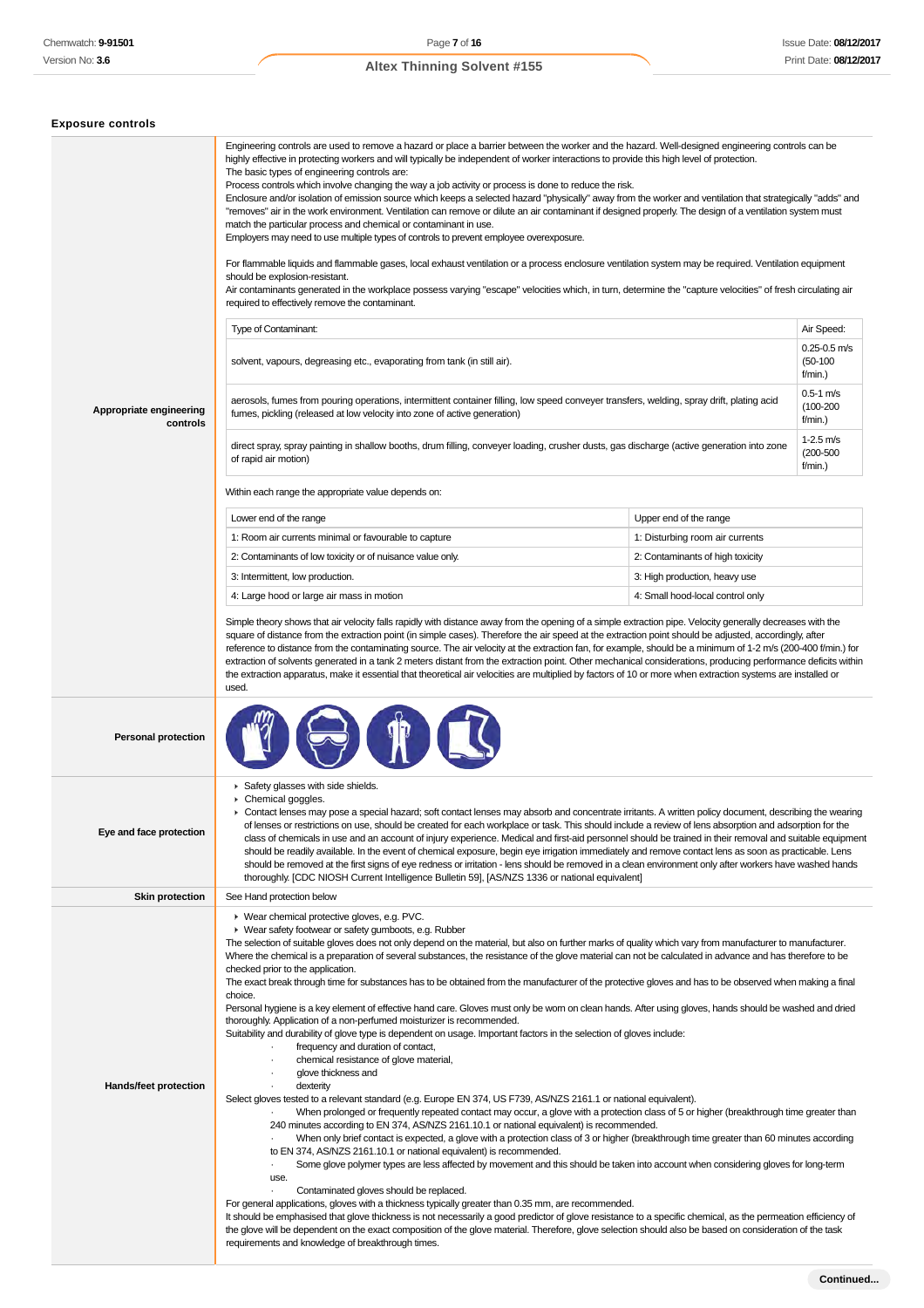| <b>Exposure controls</b>            |                                                                                                                                                                                                                                                                                                                                                                                                                                                                                                                                                                                                                                                                                                                                                                                                                                                                                                                                                                                                                                                                                                                                                                                                                                                                                                                                                              |                                  |                                           |  |
|-------------------------------------|--------------------------------------------------------------------------------------------------------------------------------------------------------------------------------------------------------------------------------------------------------------------------------------------------------------------------------------------------------------------------------------------------------------------------------------------------------------------------------------------------------------------------------------------------------------------------------------------------------------------------------------------------------------------------------------------------------------------------------------------------------------------------------------------------------------------------------------------------------------------------------------------------------------------------------------------------------------------------------------------------------------------------------------------------------------------------------------------------------------------------------------------------------------------------------------------------------------------------------------------------------------------------------------------------------------------------------------------------------------|----------------------------------|-------------------------------------------|--|
|                                     | Engineering controls are used to remove a hazard or place a barrier between the worker and the hazard. Well-designed engineering controls can be<br>highly effective in protecting workers and will typically be independent of worker interactions to provide this high level of protection.<br>The basic types of engineering controls are:<br>Process controls which involve changing the way a job activity or process is done to reduce the risk.<br>Enclosure and/or isolation of emission source which keeps a selected hazard "physically" away from the worker and ventilation that strategically "adds" and<br>"removes" air in the work environment. Ventilation can remove or dilute an air contaminant if designed properly. The design of a ventilation system must<br>match the particular process and chemical or contaminant in use.<br>Employers may need to use multiple types of controls to prevent employee overexposure.<br>For flammable liquids and flammable gases, local exhaust ventilation or a process enclosure ventilation system may be required. Ventilation equipment<br>should be explosion-resistant.<br>Air contaminants generated in the workplace possess varying "escape" velocities which, in turn, determine the "capture velocities" of fresh circulating air<br>required to effectively remove the contaminant. |                                  |                                           |  |
|                                     | Type of Contaminant:                                                                                                                                                                                                                                                                                                                                                                                                                                                                                                                                                                                                                                                                                                                                                                                                                                                                                                                                                                                                                                                                                                                                                                                                                                                                                                                                         |                                  | Air Speed:                                |  |
|                                     | solvent, vapours, degreasing etc., evaporating from tank (in still air).                                                                                                                                                                                                                                                                                                                                                                                                                                                                                                                                                                                                                                                                                                                                                                                                                                                                                                                                                                                                                                                                                                                                                                                                                                                                                     |                                  | $0.25 - 0.5$ m/s<br>$(50-100)$<br>f/min.) |  |
| Appropriate engineering<br>controls | aerosols, fumes from pouring operations, intermittent container filling, low speed conveyer transfers, welding, spray drift, plating acid<br>fumes, pickling (released at low velocity into zone of active generation)                                                                                                                                                                                                                                                                                                                                                                                                                                                                                                                                                                                                                                                                                                                                                                                                                                                                                                                                                                                                                                                                                                                                       |                                  | $0.5 - 1$ m/s<br>$(100 - 200)$<br>f/min.) |  |
|                                     | direct spray, spray painting in shallow booths, drum filling, conveyer loading, crusher dusts, gas discharge (active generation into zone<br>of rapid air motion)                                                                                                                                                                                                                                                                                                                                                                                                                                                                                                                                                                                                                                                                                                                                                                                                                                                                                                                                                                                                                                                                                                                                                                                            |                                  | $1 - 2.5$ m/s<br>$(200 - 500)$<br>f/min.) |  |
|                                     | Within each range the appropriate value depends on:                                                                                                                                                                                                                                                                                                                                                                                                                                                                                                                                                                                                                                                                                                                                                                                                                                                                                                                                                                                                                                                                                                                                                                                                                                                                                                          |                                  |                                           |  |
|                                     | Lower end of the range                                                                                                                                                                                                                                                                                                                                                                                                                                                                                                                                                                                                                                                                                                                                                                                                                                                                                                                                                                                                                                                                                                                                                                                                                                                                                                                                       | Upper end of the range           |                                           |  |
|                                     | 1: Room air currents minimal or favourable to capture                                                                                                                                                                                                                                                                                                                                                                                                                                                                                                                                                                                                                                                                                                                                                                                                                                                                                                                                                                                                                                                                                                                                                                                                                                                                                                        | 1: Disturbing room air currents  |                                           |  |
|                                     | 2: Contaminants of low toxicity or of nuisance value only.                                                                                                                                                                                                                                                                                                                                                                                                                                                                                                                                                                                                                                                                                                                                                                                                                                                                                                                                                                                                                                                                                                                                                                                                                                                                                                   | 2: Contaminants of high toxicity |                                           |  |
|                                     | 3: Intermittent, low production.                                                                                                                                                                                                                                                                                                                                                                                                                                                                                                                                                                                                                                                                                                                                                                                                                                                                                                                                                                                                                                                                                                                                                                                                                                                                                                                             | 3: High production, heavy use    |                                           |  |
|                                     | 4: Large hood or large air mass in motion                                                                                                                                                                                                                                                                                                                                                                                                                                                                                                                                                                                                                                                                                                                                                                                                                                                                                                                                                                                                                                                                                                                                                                                                                                                                                                                    | 4: Small hood-local control only |                                           |  |
|                                     | Simple theory shows that air velocity falls rapidly with distance away from the opening of a simple extraction pipe. Velocity generally decreases with the<br>square of distance from the extraction point (in simple cases). Therefore the air speed at the extraction point should be adjusted, accordingly, after<br>reference to distance from the contaminating source. The air velocity at the extraction fan, for example, should be a minimum of 1-2 m/s (200-400 f/min.) for<br>extraction of solvents generated in a tank 2 meters distant from the extraction point. Other mechanical considerations, producing performance deficits within<br>the extraction apparatus, make it essential that theoretical air velocities are multiplied by factors of 10 or more when extraction systems are installed or<br>used.                                                                                                                                                                                                                                                                                                                                                                                                                                                                                                                              |                                  |                                           |  |
| <b>Personal protection</b>          |                                                                                                                                                                                                                                                                                                                                                                                                                                                                                                                                                                                                                                                                                                                                                                                                                                                                                                                                                                                                                                                                                                                                                                                                                                                                                                                                                              |                                  |                                           |  |
| Eye and face protection             | Safety glasses with side shields.<br>Chemical goggles.<br>▶ Contact lenses may pose a special hazard; soft contact lenses may absorb and concentrate irritants. A written policy document, describing the wearing<br>of lenses or restrictions on use, should be created for each workplace or task. This should include a review of lens absorption and adsorption for the<br>class of chemicals in use and an account of injury experience. Medical and first-aid personnel should be trained in their removal and suitable equipment<br>should be readily available. In the event of chemical exposure, begin eye irrigation immediately and remove contact lens as soon as practicable. Lens<br>should be removed at the first signs of eye redness or irritation - lens should be removed in a clean environment only after workers have washed hands<br>thoroughly. [CDC NIOSH Current Intelligence Bulletin 59], [AS/NZS 1336 or national equivalent]                                                                                                                                                                                                                                                                                                                                                                                                 |                                  |                                           |  |
| <b>Skin protection</b>              | See Hand protection below                                                                                                                                                                                                                                                                                                                                                                                                                                                                                                                                                                                                                                                                                                                                                                                                                                                                                                                                                                                                                                                                                                                                                                                                                                                                                                                                    |                                  |                                           |  |
| Hands/feet protection               | ▶ Wear chemical protective gloves, e.g. PVC.<br>• Wear safety footwear or safety gumboots, e.g. Rubber<br>The selection of suitable gloves does not only depend on the material, but also on further marks of quality which vary from manufacturer to manufacturer.<br>Where the chemical is a preparation of several substances, the resistance of the glove material can not be calculated in advance and has therefore to be<br>checked prior to the application.<br>The exact break through time for substances has to be obtained from the manufacturer of the protective gloves and has to be observed when making a final<br>choice.<br>Personal hygiene is a key element of effective hand care. Gloves must only be worn on clean hands. After using gloves, hands should be washed and dried<br>thoroughly. Application of a non-perfumed moisturizer is recommended.<br>Suitability and durability of glove type is dependent on usage. Important factors in the selection of gloves include:<br>frequency and duration of contact,<br>chemical resistance of glove material,<br>glove thickness and<br>dexterity                                                                                                                                                                                                                                 |                                  |                                           |  |
|                                     | Select gloves tested to a relevant standard (e.g. Europe EN 374, US F739, AS/NZS 2161.1 or national equivalent).<br>When prolonged or frequently repeated contact may occur, a glove with a protection class of 5 or higher (breakthrough time greater than<br>240 minutes according to EN 374, AS/NZS 2161.10.1 or national equivalent) is recommended.<br>When only brief contact is expected, a glove with a protection class of 3 or higher (breakthrough time greater than 60 minutes according<br>to EN 374, AS/NZS 2161.10.1 or national equivalent) is recommended.<br>Some glove polymer types are less affected by movement and this should be taken into account when considering gloves for long-term<br>use.<br>Contaminated gloves should be replaced.<br>For general applications, gloves with a thickness typically greater than 0.35 mm, are recommended.<br>It should be emphasised that glove thickness is not necessarily a good predictor of glove resistance to a specific chemical, as the permeation efficiency of<br>the glove will be dependent on the exact composition of the glove material. Therefore, glove selection should also be based on consideration of the task<br>requirements and knowledge of breakthrough times.                                                                                                  |                                  |                                           |  |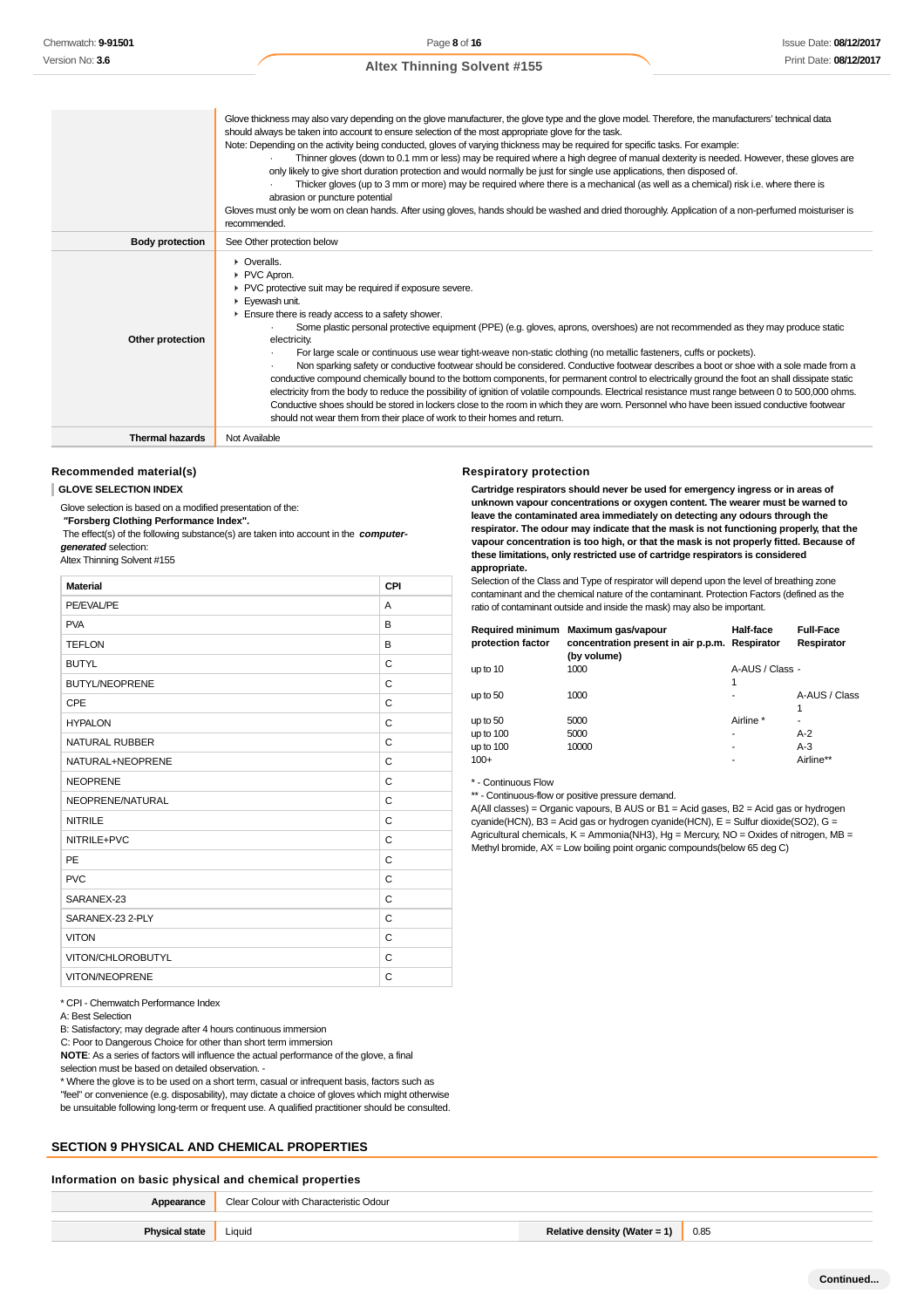|                        | Glove thickness may also vary depending on the glove manufacturer, the glove type and the glove model. Therefore, the manufacturers' technical data<br>should always be taken into account to ensure selection of the most appropriate glove for the task.<br>Note: Depending on the activity being conducted, gloves of varying thickness may be required for specific tasks. For example:<br>Thinner gloves (down to 0.1 mm or less) may be required where a high degree of manual dexterity is needed. However, these gloves are<br>only likely to give short duration protection and would normally be just for single use applications, then disposed of.<br>Thicker gloves (up to 3 mm or more) may be required where there is a mechanical (as well as a chemical) risk i.e. where there is<br>abrasion or puncture potential<br>Gloves must only be wom on clean hands. After using gloves, hands should be washed and dried thoroughly. Application of a non-perfumed moisturiser is<br>recommended.                                                                                                  |
|------------------------|----------------------------------------------------------------------------------------------------------------------------------------------------------------------------------------------------------------------------------------------------------------------------------------------------------------------------------------------------------------------------------------------------------------------------------------------------------------------------------------------------------------------------------------------------------------------------------------------------------------------------------------------------------------------------------------------------------------------------------------------------------------------------------------------------------------------------------------------------------------------------------------------------------------------------------------------------------------------------------------------------------------------------------------------------------------------------------------------------------------|
| <b>Body protection</b> | See Other protection below                                                                                                                                                                                                                                                                                                                                                                                                                                                                                                                                                                                                                                                                                                                                                                                                                                                                                                                                                                                                                                                                                     |
| Other protection       | • Overalls.<br>PVC Apron.<br>▶ PVC protective suit may be required if exposure severe.<br>Eyewash unit.<br>Ensure there is ready access to a safety shower.<br>Some plastic personal protective equipment (PPE) (e.g. gloves, aprons, overshoes) are not recommended as they may produce static<br>electricity.<br>For large scale or continuous use wear tight-weave non-static clothing (no metallic fasteners, cuffs or pockets).<br>Non sparking safety or conductive footwear should be considered. Conductive footwear describes a boot or shoe with a sole made from a<br>conductive compound chemically bound to the bottom components, for permanent control to electrically ground the foot an shall dissipate static<br>electricity from the body to reduce the possibility of ignition of volatile compounds. Electrical resistance must range between 0 to 500,000 ohms.<br>Conductive shoes should be stored in lockers close to the room in which they are worn. Personnel who have been issued conductive footwear<br>should not wear them from their place of work to their homes and return. |
| <b>Thermal hazards</b> | Not Available                                                                                                                                                                                                                                                                                                                                                                                                                                                                                                                                                                                                                                                                                                                                                                                                                                                                                                                                                                                                                                                                                                  |

# **Recommended material(s)**

**GLOVE SELECTION INDEX**

Glove selection is based on a modified presentation of the:

 **"Forsberg Clothing Performance Index".**

 The effect(s) of the following substance(s) are taken into account in the **computergenerated** selection:

Altex Thinning Solvent #155

| <b>Material</b>       | CPI |
|-----------------------|-----|
| PE/EVAL/PE            | A   |
| <b>PVA</b>            | B   |
| <b>TEFLON</b>         | B   |
| <b>BUTYL</b>          | C   |
| <b>BUTYL/NEOPRENE</b> | C   |
| CPE                   | C   |
| <b>HYPALON</b>        | C   |
| NATURAL RUBBER        | C   |
| NATURAL+NEOPRENE      | C   |
| <b>NEOPRENE</b>       | C   |
| NEOPRENE/NATURAL      | C   |
| <b>NITRILE</b>        | C   |
| NITRILE+PVC           | C   |
| <b>PE</b>             | C   |
| <b>PVC</b>            | C   |
| SARANEX-23            | C   |
| SARANEX-23 2-PLY      | C   |
| <b>VITON</b>          | C   |
| VITON/CHLOROBUTYL     | C   |
| <b>VITON/NEOPRENE</b> | C   |

#### **Respiratory protection**

**Cartridge respirators should never be used for emergency ingress or in areas of unknown vapour concentrations or oxygen content. The wearer must be warned to leave the contaminated area immediately on detecting any odours through the respirator. The odour may indicate that the mask is not functioning properly, that the vapour concentration is too high, or that the mask is not properly fitted. Because of these limitations, only restricted use of cartridge respirators is considered appropriate.**

Selection of the Class and Type of respirator will depend upon the level of breathing zone contaminant and the chemical nature of the contaminant. Protection Factors (defined as the ratio of contaminant outside and inside the mask) may also be important.

| <b>Required minimum</b><br>protection factor | Maximum gas/vapour<br>concentration present in air p.p.m. Respirator<br>(by volume) | Half-face            | <b>Full-Face</b><br>Respirator |
|----------------------------------------------|-------------------------------------------------------------------------------------|----------------------|--------------------------------|
| up to 10                                     | 1000                                                                                | A-AUS / Class -<br>1 |                                |
| up to $50$                                   | 1000                                                                                |                      | A-AUS / Class<br>1             |
| up to $50$                                   | 5000                                                                                | Airline *            |                                |
| up to $100$                                  | 5000                                                                                | ۰                    | $A-2$                          |
| up to 100<br>$100+$                          | 10000                                                                               | ۰<br>۰               | $A-3$<br>Airline**             |

\* - Continuous Flow

\*\* - Continuous-flow or positive pressure demand.

A(All classes) = Organic vapours, B AUS or B1 = Acid gases, B2 = Acid gas or hydrogen cyanide(HCN), B3 = Acid gas or hydrogen cyanide(HCN), E = Sulfur dioxide(SO2), G = Agricultural chemicals, K = Ammonia(NH3), Hg = Mercury, NO = Oxides of nitrogen, MB = Methyl bromide, AX = Low boiling point organic compounds(below 65 deg C)

| * CPI - Chemwatch Performance Index |  |
|-------------------------------------|--|
|-------------------------------------|--|

A: Best Selection

B: Satisfactory; may degrade after 4 hours continuous immersion

C: Poor to Dangerous Choice for other than short term immersion

**NOTE**: As a series of factors will influence the actual performance of the glove, a final

selection must be based on detailed observation. -

\* Where the glove is to be used on a short term, casual or infrequent basis, factors such as "feel" or convenience (e.g. disposability), may dictate a choice of gloves which might otherwise be unsuitable following long-term or frequent use. A qualified practitioner should be consulted.

# **SECTION 9 PHYSICAL AND CHEMICAL PROPERTIES**

## **Information on basic physical and chemical properties**

| Appearance            | Clear Colour with Characteristic Odour |                              |      |
|-----------------------|----------------------------------------|------------------------------|------|
|                       |                                        |                              |      |
| <b>Physical state</b> | Liquid                                 | Relative density (Water = 1) | 0.85 |
|                       |                                        |                              |      |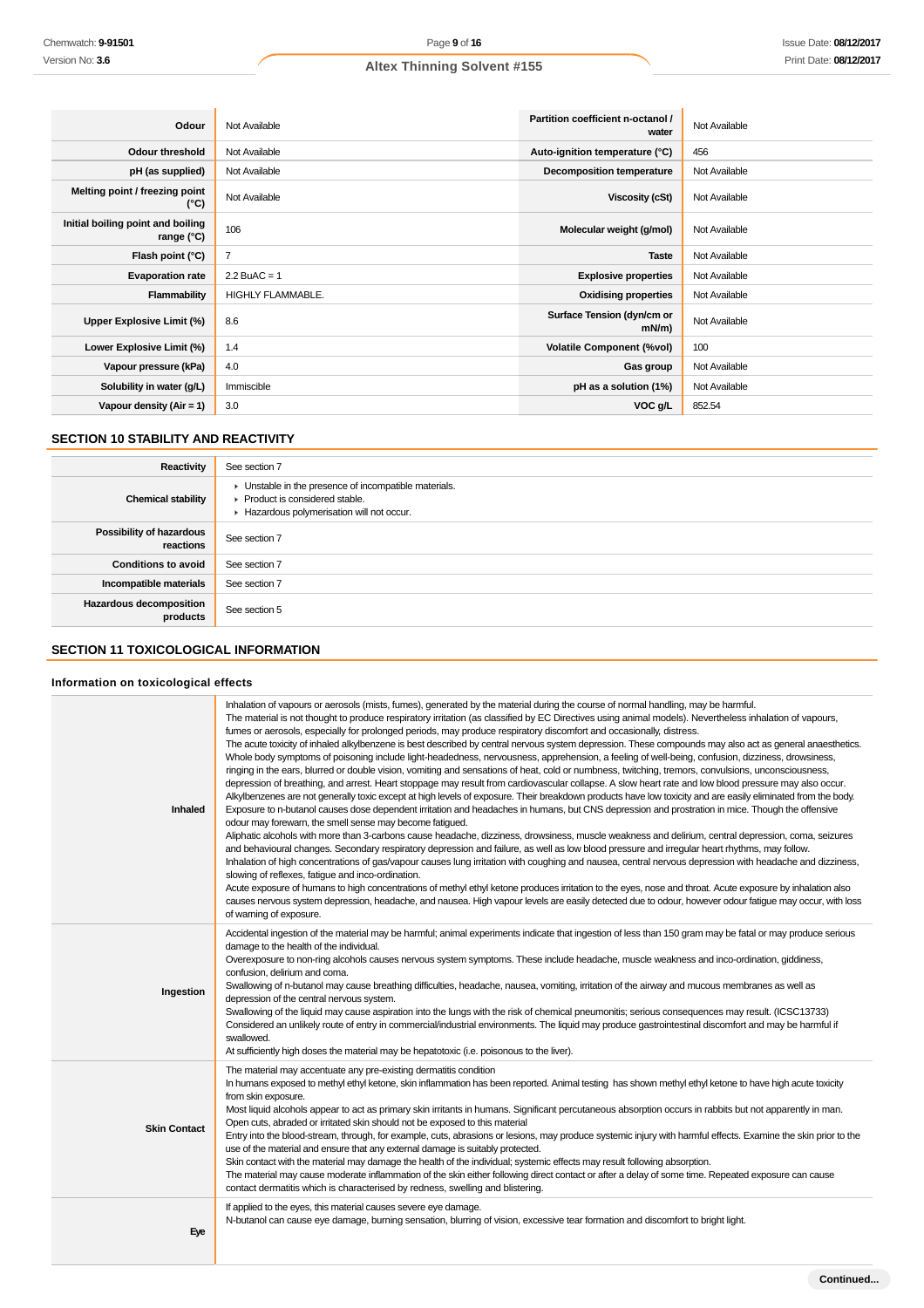| Odour                                             | Not Available            | Partition coefficient n-octanol /<br>water | Not Available |
|---------------------------------------------------|--------------------------|--------------------------------------------|---------------|
| <b>Odour threshold</b>                            | Not Available            | Auto-ignition temperature (°C)             | 456           |
| pH (as supplied)                                  | Not Available            | <b>Decomposition temperature</b>           | Not Available |
| Melting point / freezing point<br>(°C)            | Not Available            | <b>Viscosity (cSt)</b>                     | Not Available |
| Initial boiling point and boiling<br>range $(°C)$ | 106                      | Molecular weight (g/mol)                   | Not Available |
| Flash point (°C)                                  | $\overline{7}$           | <b>Taste</b>                               | Not Available |
| <b>Evaporation rate</b>                           | $2.2$ BuAC = 1           | <b>Explosive properties</b>                | Not Available |
| Flammability                                      | <b>HIGHLY FLAMMABLE.</b> | <b>Oxidising properties</b>                | Not Available |
| Upper Explosive Limit (%)                         | 8.6                      | Surface Tension (dyn/cm or<br>mN/m         | Not Available |
| Lower Explosive Limit (%)                         | 1.4                      | <b>Volatile Component (%vol)</b>           | 100           |
| Vapour pressure (kPa)                             | 4.0                      | Gas group                                  | Not Available |
| Solubility in water (g/L)                         | Immiscible               | pH as a solution (1%)                      | Not Available |
| Vapour density $(Air = 1)$                        | 3.0                      | VOC g/L                                    | 852.54        |

# **SECTION 10 STABILITY AND REACTIVITY**

| Reactivity                                   | See section 7                                                                                                                        |
|----------------------------------------------|--------------------------------------------------------------------------------------------------------------------------------------|
| <b>Chemical stability</b>                    | • Unstable in the presence of incompatible materials.<br>▶ Product is considered stable.<br>Hazardous polymerisation will not occur. |
| <b>Possibility of hazardous</b><br>reactions | See section 7                                                                                                                        |
| <b>Conditions to avoid</b>                   | See section 7                                                                                                                        |
| Incompatible materials                       | See section 7                                                                                                                        |
| <b>Hazardous decomposition</b><br>products   | See section 5                                                                                                                        |

# **SECTION 11 TOXICOLOGICAL INFORMATION**

## **Information on toxicological effects**

| Inhaled             | Inhalation of vapours or aerosols (mists, fumes), generated by the material during the course of normal handling, may be harmful.<br>The material is not thought to produce respiratory irritation (as classified by EC Directives using animal models). Nevertheless inhalation of vapours,<br>fumes or aerosols, especially for prolonged periods, may produce respiratory discomfort and occasionally, distress.<br>The acute toxicity of inhaled alkylbenzene is best described by central nervous system depression. These compounds may also act as general anaesthetics.<br>Whole body symptoms of poisoning include light-headedness, nervousness, apprehension, a feeling of well-being, confusion, dizziness, drowsiness,<br>ringing in the ears, blurred or double vision, vomiting and sensations of heat, cold or numbness, twitching, tremors, convulsions, unconsciousness,<br>depression of breathing, and arrest. Heart stoppage may result from cardiovascular collapse. A slow heart rate and low blood pressure may also occur.<br>Alkylbenzenes are not generally toxic except at high levels of exposure. Their breakdown products have low toxicity and are easily eliminated from the body.<br>Exposure to n-butanol causes dose dependent irritation and headaches in humans, but CNS depression and prostration in mice. Though the offensive<br>odour may forewarn, the smell sense may become fatigued.<br>Aliphatic alcohols with more than 3-carbons cause headache, dizziness, drowsiness, muscle weakness and delirium, central depression, coma, seizures<br>and behavioural changes. Secondary respiratory depression and failure, as well as low blood pressure and irregular heart rhythms, may follow.<br>Inhalation of high concentrations of gas/vapour causes lung irritation with coughing and nausea, central nervous depression with headache and dizziness,<br>slowing of reflexes, fatigue and inco-ordination.<br>Acute exposure of humans to high concentrations of methyl ethyl ketone produces irritation to the eyes, nose and throat. Acute exposure by inhalation also<br>causes nervous system depression, headache, and nausea. High vapour levels are easily detected due to odour, however odour fatigue may occur, with loss<br>of warning of exposure. |
|---------------------|------------------------------------------------------------------------------------------------------------------------------------------------------------------------------------------------------------------------------------------------------------------------------------------------------------------------------------------------------------------------------------------------------------------------------------------------------------------------------------------------------------------------------------------------------------------------------------------------------------------------------------------------------------------------------------------------------------------------------------------------------------------------------------------------------------------------------------------------------------------------------------------------------------------------------------------------------------------------------------------------------------------------------------------------------------------------------------------------------------------------------------------------------------------------------------------------------------------------------------------------------------------------------------------------------------------------------------------------------------------------------------------------------------------------------------------------------------------------------------------------------------------------------------------------------------------------------------------------------------------------------------------------------------------------------------------------------------------------------------------------------------------------------------------------------------------------------------------------------------------------------------------------------------------------------------------------------------------------------------------------------------------------------------------------------------------------------------------------------------------------------------------------------------------------------------------------------------------------------------------------------------------------------------------------------------------|
| Ingestion           | Accidental ingestion of the material may be harmful; animal experiments indicate that ingestion of less than 150 gram may be fatal or may produce serious<br>damage to the health of the individual.<br>Overexposure to non-ring alcohols causes nervous system symptoms. These include headache, muscle weakness and inco-ordination, giddiness,<br>confusion, delirium and coma.<br>Swallowing of n-butanol may cause breathing difficulties, headache, nausea, vomiting, irritation of the airway and mucous membranes as well as<br>depression of the central nervous system.<br>Swallowing of the liquid may cause aspiration into the lungs with the risk of chemical pneumonitis; serious consequences may result. (ICSC13733)<br>Considered an unlikely route of entry in commercial/industrial environments. The liquid may produce gastrointestinal discomfort and may be harmful if<br>swallowed.<br>At sufficiently high doses the material may be hepatotoxic (i.e. poisonous to the liver).                                                                                                                                                                                                                                                                                                                                                                                                                                                                                                                                                                                                                                                                                                                                                                                                                                                                                                                                                                                                                                                                                                                                                                                                                                                                                                        |
| <b>Skin Contact</b> | The material may accentuate any pre-existing dermatitis condition<br>In humans exposed to methyl ethyl ketone, skin inflammation has been reported. Animal testing has shown methyl ethyl ketone to have high acute toxicity<br>from skin exposure.<br>Most liquid alcohols appear to act as primary skin irritants in humans. Significant percutaneous absorption occurs in rabbits but not apparently in man.<br>Open cuts, abraded or irritated skin should not be exposed to this material<br>Entry into the blood-stream, through, for example, cuts, abrasions or lesions, may produce systemic injury with harmful effects. Examine the skin prior to the<br>use of the material and ensure that any external damage is suitably protected.<br>Skin contact with the material may damage the health of the individual; systemic effects may result following absorption.<br>The material may cause moderate inflammation of the skin either following direct contact or after a delay of some time. Repeated exposure can cause<br>contact dermatitis which is characterised by redness, swelling and blistering.                                                                                                                                                                                                                                                                                                                                                                                                                                                                                                                                                                                                                                                                                                                                                                                                                                                                                                                                                                                                                                                                                                                                                                                         |
| Eye                 | If applied to the eyes, this material causes severe eye damage.<br>N-butanol can cause eye damage, burning sensation, blurring of vision, excessive tear formation and discomfort to bright light.                                                                                                                                                                                                                                                                                                                                                                                                                                                                                                                                                                                                                                                                                                                                                                                                                                                                                                                                                                                                                                                                                                                                                                                                                                                                                                                                                                                                                                                                                                                                                                                                                                                                                                                                                                                                                                                                                                                                                                                                                                                                                                               |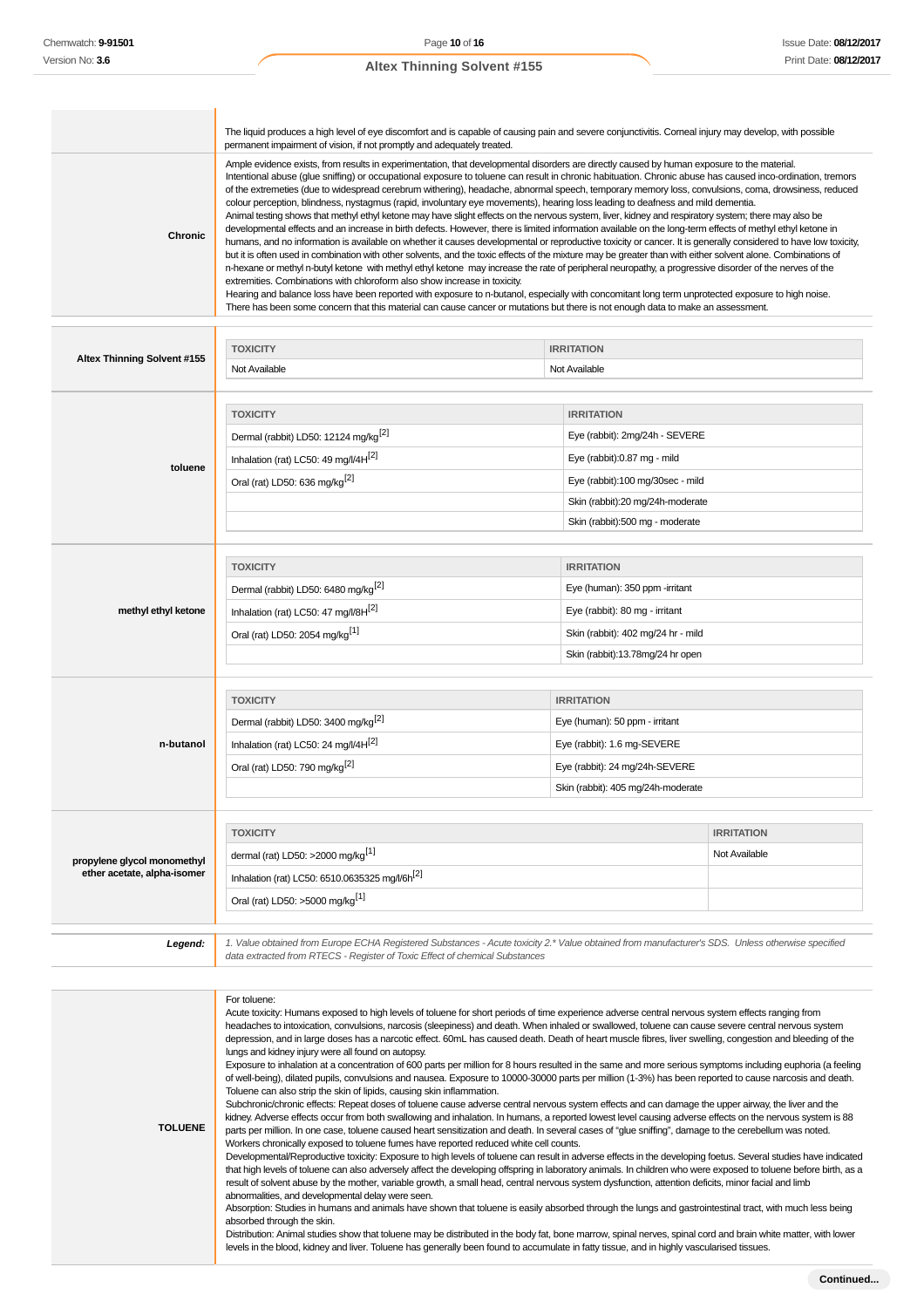**TOLUENE**

## **Altex Thinning Solvent #155**

| <b>Chronic</b>                                             | The liquid produces a high level of eye discomfort and is capable of causing pain and severe conjunctivitis. Corneal injury may develop, with possible<br>permanent impairment of vision, if not promptly and adequately treated.<br>Ample evidence exists, from results in experimentation, that developmental disorders are directly caused by human exposure to the material.<br>Intentional abuse (glue sniffing) or occupational exposure to toluene can result in chronic habituation. Chronic abuse has caused inco-ordination, tremors<br>of the extremeties (due to widespread cerebrum withering), headache, abnormal speech, temporary memory loss, convulsions, coma, drowsiness, reduced<br>colour perception, blindness, nystagmus (rapid, involuntary eye movements), hearing loss leading to deafness and mild dementia.<br>Animal testing shows that methyl ethyl ketone may have slight effects on the nervous system, liver, kidney and respiratory system; there may also be<br>developmental effects and an increase in birth defects. However, there is limited information available on the long-term effects of methyl ethyl ketone in<br>humans, and no information is available on whether it causes developmental or reproductive toxicity or cancer. It is generally considered to have low toxicity,<br>but it is often used in combination with other solvents, and the toxic effects of the mixture may be greater than with either solvent alone. Combinations of<br>n-hexane or methyl n-butyl ketone with methyl ethyl ketone may increase the rate of peripheral neuropathy, a progressive disorder of the nerves of the<br>extremities. Combinations with chloroform also show increase in toxicity.<br>Hearing and balance loss have been reported with exposure to n-butanol, especially with concomitant long term unprotected exposure to high noise.<br>There has been some concern that this material can cause cancer or mutations but there is not enough data to make an assessment. |                                                                                                                                                                                               |                                    |
|------------------------------------------------------------|-----------------------------------------------------------------------------------------------------------------------------------------------------------------------------------------------------------------------------------------------------------------------------------------------------------------------------------------------------------------------------------------------------------------------------------------------------------------------------------------------------------------------------------------------------------------------------------------------------------------------------------------------------------------------------------------------------------------------------------------------------------------------------------------------------------------------------------------------------------------------------------------------------------------------------------------------------------------------------------------------------------------------------------------------------------------------------------------------------------------------------------------------------------------------------------------------------------------------------------------------------------------------------------------------------------------------------------------------------------------------------------------------------------------------------------------------------------------------------------------------------------------------------------------------------------------------------------------------------------------------------------------------------------------------------------------------------------------------------------------------------------------------------------------------------------------------------------------------------------------------------------------------------------------------------------------------------------------------------------------------------------------------------------|-----------------------------------------------------------------------------------------------------------------------------------------------------------------------------------------------|------------------------------------|
|                                                            |                                                                                                                                                                                                                                                                                                                                                                                                                                                                                                                                                                                                                                                                                                                                                                                                                                                                                                                                                                                                                                                                                                                                                                                                                                                                                                                                                                                                                                                                                                                                                                                                                                                                                                                                                                                                                                                                                                                                                                                                                                   |                                                                                                                                                                                               |                                    |
| Altex Thinning Solvent #155                                | <b>TOXICITY</b><br>Not Available                                                                                                                                                                                                                                                                                                                                                                                                                                                                                                                                                                                                                                                                                                                                                                                                                                                                                                                                                                                                                                                                                                                                                                                                                                                                                                                                                                                                                                                                                                                                                                                                                                                                                                                                                                                                                                                                                                                                                                                                  | <b>IRRITATION</b><br>Not Available                                                                                                                                                            |                                    |
| toluene                                                    | <b>TOXICITY</b><br>Dermal (rabbit) LD50: 12124 mg/kg <sup>[2]</sup><br>Inhalation (rat) LC50: 49 mg/l/4H <sup>[2]</sup><br>Oral (rat) LD50: 636 mg/kg <sup>[2]</sup>                                                                                                                                                                                                                                                                                                                                                                                                                                                                                                                                                                                                                                                                                                                                                                                                                                                                                                                                                                                                                                                                                                                                                                                                                                                                                                                                                                                                                                                                                                                                                                                                                                                                                                                                                                                                                                                              | <b>IRRITATION</b><br>Eye (rabbit): 2mg/24h - SEVERE<br>Eye (rabbit):0.87 mg - mild<br>Eye (rabbit):100 mg/30sec - mild<br>Skin (rabbit):20 mg/24h-moderate<br>Skin (rabbit):500 mg - moderate |                                    |
| methyl ethyl ketone                                        | <b>TOXICITY</b><br>Dermal (rabbit) LD50: 6480 mg/kg <sup>[2]</sup><br>Inhalation (rat) LC50: 47 mg/l/8H[2]<br>Oral (rat) LD50: 2054 mg/kg <sup>[1]</sup>                                                                                                                                                                                                                                                                                                                                                                                                                                                                                                                                                                                                                                                                                                                                                                                                                                                                                                                                                                                                                                                                                                                                                                                                                                                                                                                                                                                                                                                                                                                                                                                                                                                                                                                                                                                                                                                                          | <b>IRRITATION</b><br>Eye (human): 350 ppm -irritant<br>Eye (rabbit): 80 mg - irritant<br>Skin (rabbit): 402 mg/24 hr - mild<br>Skin (rabbit):13.78mg/24 hr open                               |                                    |
| n-butanol                                                  | <b>TOXICITY</b><br>Dermal (rabbit) LD50: 3400 mg/kg <sup>[2]</sup><br>Inhalation (rat) LC50: 24 mg/l/4H[2]<br>Oral (rat) LD50: 790 mg/kg <sup>[2]</sup>                                                                                                                                                                                                                                                                                                                                                                                                                                                                                                                                                                                                                                                                                                                                                                                                                                                                                                                                                                                                                                                                                                                                                                                                                                                                                                                                                                                                                                                                                                                                                                                                                                                                                                                                                                                                                                                                           | <b>IRRITATION</b><br>Eye (human): 50 ppm - irritant<br>Eye (rabbit): 1.6 mg-SEVERE<br>Eye (rabbit): 24 mg/24h-SEVERE<br>Skin (rabbit): 405 mg/24h-moderate                                    |                                    |
| propylene glycol monomethyl<br>ether acetate, alpha-isomer | <b>TOXICITY</b><br>dermal (rat) LD50: >2000 mg/kg <sup>[1]</sup><br>Inhalation (rat) LC50: 6510.0635325 mg/l/6h[2]<br>Oral (rat) LD50: >5000 mg/kg <sup>[1]</sup>                                                                                                                                                                                                                                                                                                                                                                                                                                                                                                                                                                                                                                                                                                                                                                                                                                                                                                                                                                                                                                                                                                                                                                                                                                                                                                                                                                                                                                                                                                                                                                                                                                                                                                                                                                                                                                                                 |                                                                                                                                                                                               | <b>IRRITATION</b><br>Not Available |
| Legend:                                                    | 1. Value obtained from Europe ECHA Registered Substances - Acute toxicity 2.* Value obtained from manufacturer's SDS. Unless otherwise specified<br>data extracted from RTECS - Register of Toxic Effect of chemical Substances                                                                                                                                                                                                                                                                                                                                                                                                                                                                                                                                                                                                                                                                                                                                                                                                                                                                                                                                                                                                                                                                                                                                                                                                                                                                                                                                                                                                                                                                                                                                                                                                                                                                                                                                                                                                   |                                                                                                                                                                                               |                                    |
|                                                            | For toluene:<br>Acute toxicity: Humans exposed to high levels of toluene for short periods of time experience adverse central nervous system effects ranging from<br>headaches to intoxication, convulsions, narcosis (sleepiness) and death. When inhaled or swallowed, toluene can cause severe central nervous system                                                                                                                                                                                                                                                                                                                                                                                                                                                                                                                                                                                                                                                                                                                                                                                                                                                                                                                                                                                                                                                                                                                                                                                                                                                                                                                                                                                                                                                                                                                                                                                                                                                                                                          |                                                                                                                                                                                               |                                    |

depression, and in large doses has a narcotic effect. 60mL has caused death. Death of heart muscle fibres, liver swelling, congestion and bleeding of the lungs and kidney injury were all found on autopsy.

Exposure to inhalation at a concentration of 600 parts per million for 8 hours resulted in the same and more serious symptoms including euphoria (a feeling of well-being), dilated pupils, convulsions and nausea. Exposure to 10000-30000 parts per million (1-3%) has been reported to cause narcosis and death. Toluene can also strip the skin of lipids, causing skin inflammation.

Subchronic/chronic effects: Repeat doses of toluene cause adverse central nervous system effects and can damage the upper airway, the liver and the kidney. Adverse effects occur from both swallowing and inhalation. In humans, a reported lowest level causing adverse effects on the nervous system is 88 parts per million. In one case, toluene caused heart sensitization and death. In several cases of "glue sniffing", damage to the cerebellum was noted. Workers chronically exposed to toluene fumes have reported reduced white cell counts.

Developmental/Reproductive toxicity: Exposure to high levels of toluene can result in adverse effects in the developing foetus. Several studies have indicated that high levels of toluene can also adversely affect the developing offspring in laboratory animals. In children who were exposed to toluene before birth, as a result of solvent abuse by the mother, variable growth, a small head, central nervous system dysfunction, attention deficits, minor facial and limb abnormalities, and developmental delay were seen.

Absorption: Studies in humans and animals have shown that toluene is easily absorbed through the lungs and gastrointestinal tract, with much less being absorbed through the skin.

Distribution: Animal studies show that toluene may be distributed in the body fat, bone marrow, spinal nerves, spinal cord and brain white matter, with lower levels in the blood, kidney and liver. Toluene has generally been found to accumulate in fatty tissue, and in highly vascularised tissues.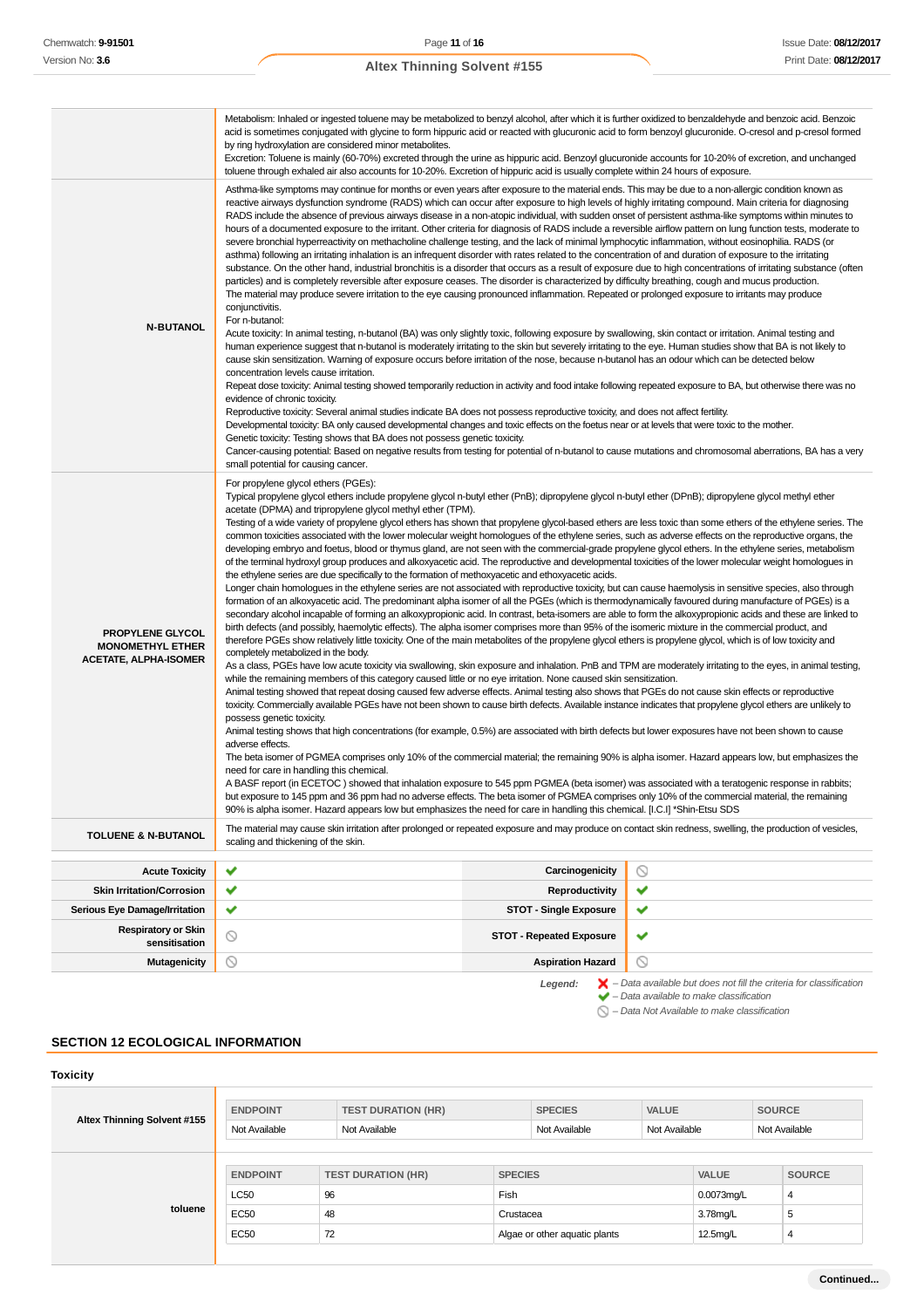|                                                                             | Metabolism: Inhaled or ingested toluene may be metabolized to benzyl alcohol, after which it is further oxidized to benzaldehyde and benzoic acid. Benzoic<br>acid is sometimes conjugated with glycine to form hippuric acid or reacted with glucuronic acid to form benzoyl glucuronide. O-cresol and p-cresol formed<br>by ring hydroxylation are considered minor metabolites.<br>Excretion: Toluene is mainly (60-70%) excreted through the urine as hippuric acid. Benzoyl glucuronide accounts for 10-20% of excretion, and unchanged<br>toluene through exhaled air also accounts for 10-20%. Excretion of hippuric acid is usually complete within 24 hours of exposure.                                                                                                                                                                                                                                                                                                                                                                                                                                                                                                                                                                                                                                                                                                                                                                                                                                                                                                                                                                                                                                                                                                                                                                                                                                                                                                                                                                                                                                                                                                                                                                                                                                                                                                                                                                                                                                                                                                                                                                                                                                                                                                                                                                                                                                                                                                                                                                                                                                                                                                                |                |  |
|-----------------------------------------------------------------------------|--------------------------------------------------------------------------------------------------------------------------------------------------------------------------------------------------------------------------------------------------------------------------------------------------------------------------------------------------------------------------------------------------------------------------------------------------------------------------------------------------------------------------------------------------------------------------------------------------------------------------------------------------------------------------------------------------------------------------------------------------------------------------------------------------------------------------------------------------------------------------------------------------------------------------------------------------------------------------------------------------------------------------------------------------------------------------------------------------------------------------------------------------------------------------------------------------------------------------------------------------------------------------------------------------------------------------------------------------------------------------------------------------------------------------------------------------------------------------------------------------------------------------------------------------------------------------------------------------------------------------------------------------------------------------------------------------------------------------------------------------------------------------------------------------------------------------------------------------------------------------------------------------------------------------------------------------------------------------------------------------------------------------------------------------------------------------------------------------------------------------------------------------------------------------------------------------------------------------------------------------------------------------------------------------------------------------------------------------------------------------------------------------------------------------------------------------------------------------------------------------------------------------------------------------------------------------------------------------------------------------------------------------------------------------------------------------------------------------------------------------------------------------------------------------------------------------------------------------------------------------------------------------------------------------------------------------------------------------------------------------------------------------------------------------------------------------------------------------------------------------------------------------------------------------------------------------|----------------|--|
| <b>N-BUTANOL</b>                                                            | Asthma-like symptoms may continue for months or even years after exposure to the material ends. This may be due to a non-allergic condition known as<br>reactive airways dysfunction syndrome (RADS) which can occur after exposure to high levels of highly irritating compound. Main criteria for diagnosing<br>RADS include the absence of previous airways disease in a non-atopic individual, with sudden onset of persistent asthma-like symptoms within minutes to<br>hours of a documented exposure to the irritant. Other criteria for diagnosis of RADS include a reversible airflow pattern on lung function tests, moderate to<br>severe bronchial hyperreactivity on methacholine challenge testing, and the lack of minimal lymphocytic inflammation, without eosinophilia. RADS (or<br>asthma) following an irritating inhalation is an infrequent disorder with rates related to the concentration of and duration of exposure to the irritating<br>substance. On the other hand, industrial bronchitis is a disorder that occurs as a result of exposure due to high concentrations of irritating substance (often<br>particles) and is completely reversible after exposure ceases. The disorder is characterized by difficulty breathing, cough and mucus production.<br>The material may produce severe irritation to the eye causing pronounced inflammation. Repeated or prolonged exposure to irritants may produce<br>conjunctivitis.<br>For n-butanol:<br>Acute toxicity: In animal testing, n-butanol (BA) was only slightly toxic, following exposure by swallowing, skin contact or irritation. Animal testing and<br>human experience suggest that n-butanol is moderately irritating to the skin but severely irritating to the eye. Human studies show that BA is not likely to<br>cause skin sensitization. Warning of exposure occurs before irritation of the nose, because n-butanol has an odour which can be detected below<br>concentration levels cause irritation.<br>Repeat dose toxicity: Animal testing showed temporarily reduction in activity and food intake following repeated exposure to BA, but otherwise there was no<br>evidence of chronic toxicity.<br>Reproductive toxicity: Several animal studies indicate BA does not possess reproductive toxicity, and does not affect fertility.<br>Developmental toxicity: BA only caused developmental changes and toxic effects on the foetus near or at levels that were toxic to the mother.<br>Genetic toxicity: Testing shows that BA does not possess genetic toxicity.<br>Cancer-causing potential: Based on negative results from testing for potential of n-butanol to cause mutations and chromosomal aberrations, BA has a very<br>small potential for causing cancer.                                                                                                                                                                                                                                                                                                                                                                                                                |                |  |
| PROPYLENE GLYCOL<br><b>MONOMETHYL ETHER</b><br><b>ACETATE, ALPHA-ISOMER</b> | For propylene glycol ethers (PGEs):<br>Typical propylene glycol ethers include propylene glycol n-butyl ether (PnB); dipropylene glycol n-butyl ether (DPnB); dipropylene glycol methyl ether<br>acetate (DPMA) and tripropylene glycol methyl ether (TPM).<br>Testing of a wide variety of propylene glycol ethers has shown that propylene glycol-based ethers are less toxic than some ethers of the ethylene series. The<br>common toxicities associated with the lower molecular weight homologues of the ethylene series, such as adverse effects on the reproductive organs, the<br>developing embryo and foetus, blood or thymus gland, are not seen with the commercial-grade propylene glycol ethers. In the ethylene series, metabolism<br>of the terminal hydroxyl group produces and alkoxyacetic acid. The reproductive and developmental toxicities of the lower molecular weight homologues in<br>the ethylene series are due specifically to the formation of methoxyacetic and ethoxyacetic acids.<br>Longer chain homologues in the ethylene series are not associated with reproductive toxicity, but can cause haemolysis in sensitive species, also through<br>formation of an alkoxyacetic acid. The predominant alpha isomer of all the PGEs (which is thermodynamically favoured during manufacture of PGEs) is a<br>secondary alcohol incapable of forming an alkoxypropionic acid. In contrast, beta-isomers are able to form the alkoxypropionic acids and these are linked to<br>birth defects (and possibly, haemolytic effects). The alpha isomer comprises more than 95% of the isomeric mixture in the commercial product, and<br>therefore PGEs show relatively little toxicity. One of the main metabolites of the propylene glycol ethers is propylene glycol, which is of low toxicity and<br>completely metabolized in the body.<br>As a class, PGEs have low acute toxicity via swallowing, skin exposure and inhalation. PnB and TPM are moderately irritating to the eyes, in animal testing,<br>while the remaining members of this category caused little or no eye irritation. None caused skin sensitization.<br>Animal testing showed that repeat dosing caused few adverse effects. Animal testing also shows that PGEs do not cause skin effects or reproductive<br>toxicity. Commercially available PGEs have not been shown to cause birth defects. Available instance indicates that propylene glycol ethers are unlikely to<br>possess genetic toxicity.<br>Animal testing shows that high concentrations (for example, 0.5%) are associated with birth defects but lower exposures have not been shown to cause<br>adverse effects.<br>The beta isomer of PGMEA comprises only 10% of the commercial material; the remaining 90% is alpha isomer. Hazard appears low, but emphasizes the<br>need for care in handling this chemical.<br>A BASF report (in ECETOC) showed that inhalation exposure to 545 ppm PGMEA (beta isomer) was associated with a teratogenic response in rabbits;<br>but exposure to 145 ppm and 36 ppm had no adverse effects. The beta isomer of PGMEA comprises only 10% of the commercial material, the remaining |                |  |
| <b>TOLUENE &amp; N-BUTANOL</b>                                              | The material may cause skin irritation after prolonged or repeated exposure and may produce on contact skin redness, swelling, the production of vesicles,<br>scaling and thickening of the skin.                                                                                                                                                                                                                                                                                                                                                                                                                                                                                                                                                                                                                                                                                                                                                                                                                                                                                                                                                                                                                                                                                                                                                                                                                                                                                                                                                                                                                                                                                                                                                                                                                                                                                                                                                                                                                                                                                                                                                                                                                                                                                                                                                                                                                                                                                                                                                                                                                                                                                                                                                                                                                                                                                                                                                                                                                                                                                                                                                                                                |                |  |
| <b>Acute Toxicity</b>                                                       | ✔<br>Carcinogenicity                                                                                                                                                                                                                                                                                                                                                                                                                                                                                                                                                                                                                                                                                                                                                                                                                                                                                                                                                                                                                                                                                                                                                                                                                                                                                                                                                                                                                                                                                                                                                                                                                                                                                                                                                                                                                                                                                                                                                                                                                                                                                                                                                                                                                                                                                                                                                                                                                                                                                                                                                                                                                                                                                                                                                                                                                                                                                                                                                                                                                                                                                                                                                                             | $\circledcirc$ |  |
| <b>Skin Irritation/Corrosion</b>                                            | ✔<br>Reproductivity                                                                                                                                                                                                                                                                                                                                                                                                                                                                                                                                                                                                                                                                                                                                                                                                                                                                                                                                                                                                                                                                                                                                                                                                                                                                                                                                                                                                                                                                                                                                                                                                                                                                                                                                                                                                                                                                                                                                                                                                                                                                                                                                                                                                                                                                                                                                                                                                                                                                                                                                                                                                                                                                                                                                                                                                                                                                                                                                                                                                                                                                                                                                                                              | ✔              |  |
| Serious Eye Damage/Irritation                                               | ✔<br><b>STOT - Single Exposure</b>                                                                                                                                                                                                                                                                                                                                                                                                                                                                                                                                                                                                                                                                                                                                                                                                                                                                                                                                                                                                                                                                                                                                                                                                                                                                                                                                                                                                                                                                                                                                                                                                                                                                                                                                                                                                                                                                                                                                                                                                                                                                                                                                                                                                                                                                                                                                                                                                                                                                                                                                                                                                                                                                                                                                                                                                                                                                                                                                                                                                                                                                                                                                                               | ✔              |  |
| <b>Respiratory or Skin</b><br>sensitisation                                 | $\circ$<br><b>STOT - Repeated Exposure</b>                                                                                                                                                                                                                                                                                                                                                                                                                                                                                                                                                                                                                                                                                                                                                                                                                                                                                                                                                                                                                                                                                                                                                                                                                                                                                                                                                                                                                                                                                                                                                                                                                                                                                                                                                                                                                                                                                                                                                                                                                                                                                                                                                                                                                                                                                                                                                                                                                                                                                                                                                                                                                                                                                                                                                                                                                                                                                                                                                                                                                                                                                                                                                       | ✔              |  |
| <b>Mutagenicity</b>                                                         | $\circledcirc$<br><b>Aspiration Hazard</b>                                                                                                                                                                                                                                                                                                                                                                                                                                                                                                                                                                                                                                                                                                                                                                                                                                                                                                                                                                                                                                                                                                                                                                                                                                                                                                                                                                                                                                                                                                                                                                                                                                                                                                                                                                                                                                                                                                                                                                                                                                                                                                                                                                                                                                                                                                                                                                                                                                                                                                                                                                                                                                                                                                                                                                                                                                                                                                                                                                                                                                                                                                                                                       | $\circledcirc$ |  |
|                                                                             |                                                                                                                                                                                                                                                                                                                                                                                                                                                                                                                                                                                                                                                                                                                                                                                                                                                                                                                                                                                                                                                                                                                                                                                                                                                                                                                                                                                                                                                                                                                                                                                                                                                                                                                                                                                                                                                                                                                                                                                                                                                                                                                                                                                                                                                                                                                                                                                                                                                                                                                                                                                                                                                                                                                                                                                                                                                                                                                                                                                                                                                                                                                                                                                                  |                |  |

Legend:  $\blacktriangleright$  - Data available but does not fill the criteria for classification<br>  $\blacktriangleright$  - Data available to make classification

 $\bigcirc$  – Data Not Available to make classification

# **SECTION 12 ECOLOGICAL INFORMATION**

**Toxicity Altex Thinning Solvent #155 ENDPOINT TEST DURATION (HR) SPECIES VALUE SOURCE** Not Available Not Available Not Available Not Available Not Available **toluene ENDPOINT TEST DURATION (HR) SPECIES VALUE SOURCE** LC50 96 Fish 0.0073mg/L 4 EC50 48 Crustacea Crustacea 3.78mg/L 5 EC50 72 Algae or other aquatic plants 12.5mg/L 4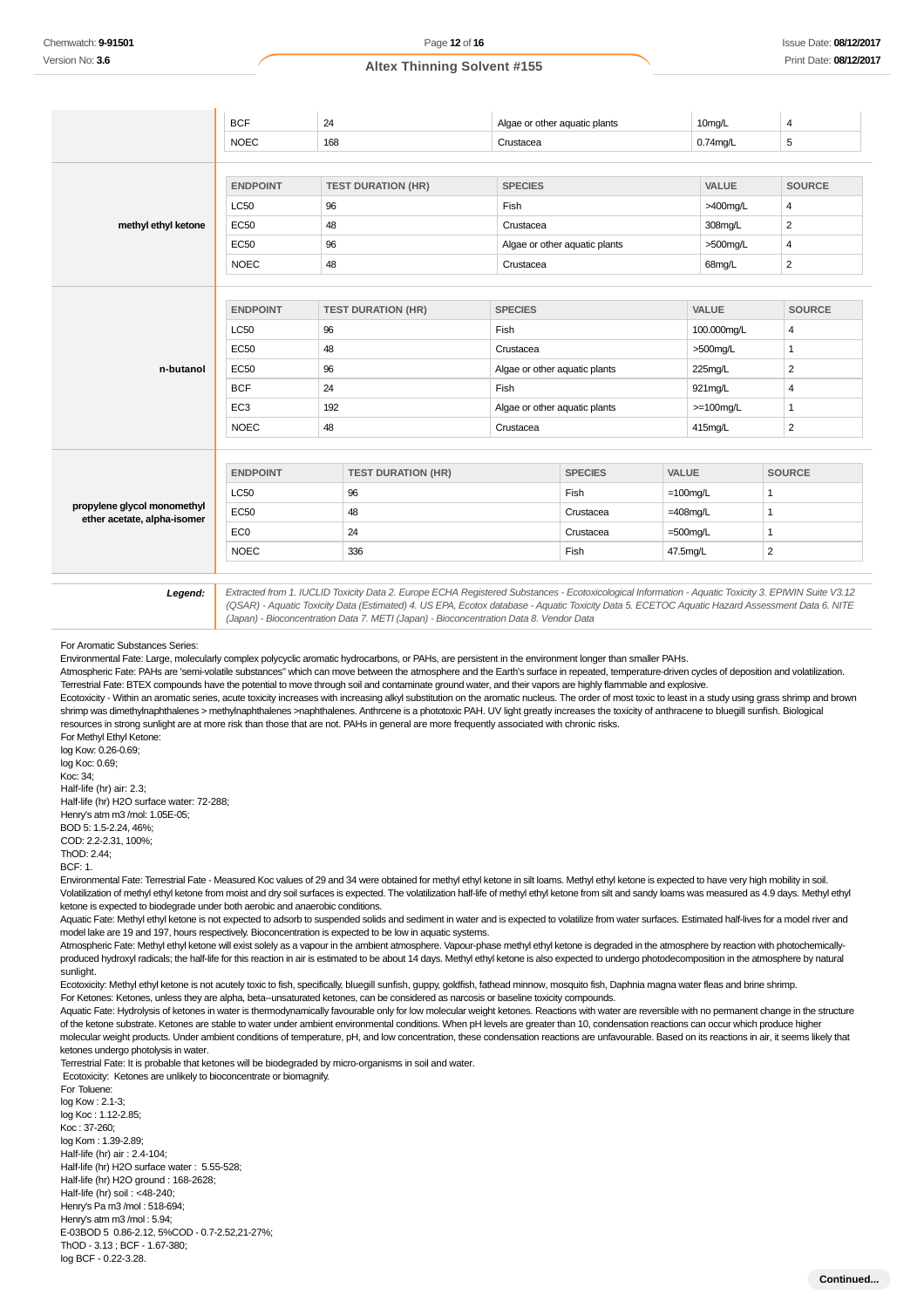| <b>NOEC</b><br><b>ENDPOINT</b><br><b>LC50</b> | 168<br><b>TEST DURATION (HR)</b> | Crustacea      |                |                                                                                                 | $0.74$ mg/L  | 5                                                              |
|-----------------------------------------------|----------------------------------|----------------|----------------|-------------------------------------------------------------------------------------------------|--------------|----------------------------------------------------------------|
|                                               |                                  |                |                |                                                                                                 |              |                                                                |
|                                               |                                  |                |                |                                                                                                 |              |                                                                |
|                                               |                                  | <b>SPECIES</b> |                |                                                                                                 | <b>VALUE</b> | <b>SOURCE</b>                                                  |
|                                               | 96                               | Fish           |                |                                                                                                 | >400mg/L     | 4                                                              |
| <b>EC50</b>                                   | 48                               | Crustacea      |                |                                                                                                 | 308mg/L      | $\overline{2}$                                                 |
| EC50                                          | 96                               |                |                |                                                                                                 | >500mg/L     | 4                                                              |
| <b>NOEC</b>                                   | 48                               | Crustacea      |                |                                                                                                 | 68mg/L       | $\overline{2}$                                                 |
|                                               |                                  |                |                |                                                                                                 |              |                                                                |
| <b>ENDPOINT</b>                               | <b>TEST DURATION (HR)</b>        | <b>SPECIES</b> |                |                                                                                                 | VALUE        | <b>SOURCE</b>                                                  |
| <b>LC50</b>                                   | 96                               | Fish           |                |                                                                                                 | 100.000mg/L  | 4                                                              |
| <b>EC50</b>                                   | 48                               | Crustacea      |                |                                                                                                 | >500mg/L     | $\mathbf{1}$                                                   |
| <b>EC50</b>                                   | 96                               |                |                |                                                                                                 | 225mg/L      | $\overline{2}$                                                 |
| <b>BCF</b>                                    | 24                               | Fish           |                |                                                                                                 | 921mg/L      | 4                                                              |
| EC <sub>3</sub>                               | 192                              |                |                |                                                                                                 | $>=100$ mg/L | $\mathbf{1}$                                                   |
| <b>NOEC</b>                                   | 48                               | Crustacea      |                |                                                                                                 | 415mg/L      | $\overline{2}$                                                 |
|                                               |                                  |                |                |                                                                                                 |              |                                                                |
| <b>ENDPOINT</b>                               | <b>TEST DURATION (HR)</b>        |                | <b>SPECIES</b> |                                                                                                 |              | <b>SOURCE</b>                                                  |
| <b>LC50</b>                                   | 96                               |                | Fish           |                                                                                                 |              | $\mathbf{1}$                                                   |
| <b>EC50</b>                                   | 48                               |                | Crustacea      |                                                                                                 |              | $\mathbf{1}$                                                   |
| EC <sub>0</sub>                               | 24                               |                | Crustacea      |                                                                                                 |              | $\mathbf{1}$                                                   |
| <b>NOEC</b>                                   | 336                              |                | Fish           |                                                                                                 |              | $\overline{2}$                                                 |
|                                               |                                  |                |                | Algae or other aquatic plants<br>Algae or other aquatic plants<br>Algae or other aquatic plants |              | VALUE<br>$=100$ mg/L<br>$=408$ mg/L<br>$=500$ mg/L<br>47.5mg/L |

(Japan) - Bioconcentration Data 7. METI (Japan) - Bioconcentration Data 8. Vendor Data

For Aromatic Substances Series:

Environmental Fate: Large, molecularly complex polycyclic aromatic hydrocarbons, or PAHs, are persistent in the environment longer than smaller PAHs.

Atmospheric Fate: PAHs are 'semi-volatile substances" which can move between the atmosphere and the Earth's surface in repeated, temperature-driven cycles of deposition and volatilization. Terrestrial Fate: BTEX compounds have the potential to move through soil and contaminate ground water, and their vapors are highly flammable and explosive.

Ecotoxicity - Within an aromatic series, acute toxicity increases with increasing alkyl substitution on the aromatic nucleus. The order of most toxic to least in a study using grass shrimp and brown shrimp was dimethylnaphthalenes > methylnaphthalenes >naphthalenes. Anthrcene is a phototoxic PAH. UV light greatly increases the toxicity of anthracene to bluegill sunfish. Biological resources in strong sunlight are at more risk than those that are not. PAHs in general are more frequently associated with chronic risks.

For Methyl Ethyl Ketone: log Kow: 0.26-0.69; log Koc: 0.69; Koc: 34; Half-life (hr) air: 2.3; Half-life (hr) H2O surface water: 72-288; Henry's atm m3 /mol: 1.05E-05; BOD 5: 1.5-2.24, 46%; COD: 2.2-2.31, 100%; ThOD: 2.44;

BCF: 1.

Environmental Fate: Terrestrial Fate - Measured Koc values of 29 and 34 were obtained for methyl ethyl ketone in silt loams. Methyl ethyl ketone is expected to have very high mobility in soil. Volatilization of methyl ethyl ketone from moist and dry soil surfaces is expected. The volatilization half-life of methyl ethyl ketone from silt and sandy loams was measured as 4.9 days. Methyl ethyl ketone is expected to biodegrade under both aerobic and anaerobic conditions.

Aquatic Fate: Methyl ethyl ketone is not expected to adsorb to suspended solids and sediment in water and is expected to volatilize from water surfaces. Estimated half-lives for a model river and model lake are 19 and 197, hours respectively. Bioconcentration is expected to be low in aquatic systems.

Atmospheric Fate: Methyl ethyl ketone will exist solely as a vapour in the ambient atmosphere. Vapour-phase methyl ethyl ketone is degraded in the atmosphere by reaction with photochemicallyproduced hydroxyl radicals; the half-life for this reaction in air is estimated to be about 14 days. Methyl ethyl ketone is also expected to undergo photodecomposition in the atmosphere by natural sunlight.

Ecotoxicity: Methyl ethyl ketone is not acutely toxic to fish, specifically, bluegill sunfish, guppy, goldfish, fathead minnow, mosquito fish, Daphnia magna water fleas and brine shrimp. For Ketones: Ketones, unless they are alpha, beta--unsaturated ketones, can be considered as narcosis or baseline toxicity compounds.

Aquatic Fate: Hydrolysis of ketones in water is thermodynamically favourable only for low molecular weight ketones. Reactions with water are reversible with no permanent change in the structure of the ketone substrate. Ketones are stable to water under ambient environmental conditions. When pH levels are greater than 10, condensation reactions can occur which produce higher molecular weight products. Under ambient conditions of temperature, pH, and low concentration, these condensation reactions are unfavourable. Based on its reactions in air, it seems likely that ketones undergo photolysis in water.

Terrestrial Fate: It is probable that ketones will be biodegraded by micro-organisms in soil and water.

Ecotoxicity: Ketones are unlikely to bioconcentrate or biomagnify.

For Toluene: log Kow : 2.1-3; log Koc : 1.12-2.85; Koc : 37-260; log Kom : 1.39-2.89; Half-life (hr) air : 2.4-104; Half-life (hr) H2O surface water : 5.55-528; Half-life (hr) H2O ground : 168-2628; Half-life (hr) soil : <48-240; Henry's Pa m3 /mol : 518-694; Henry's atm m3 /mol : 5.94; E-03BOD 5 0.86-2.12, 5%COD - 0.7-2.52,21-27%; ThOD - 3.13 ; BCF - 1.67-380; log BCF - 0.22-3.28.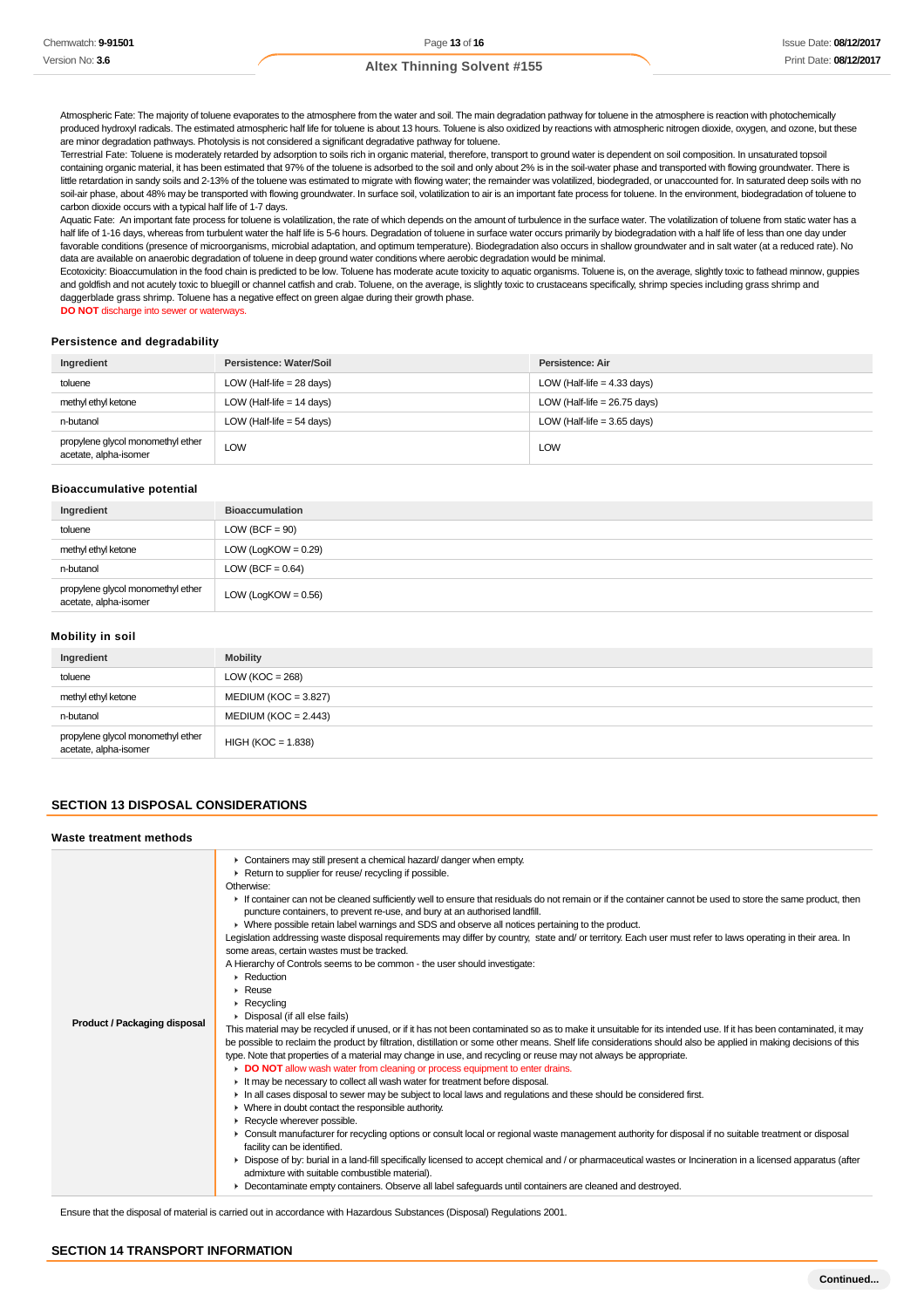Atmospheric Fate: The majority of toluene evaporates to the atmosphere from the water and soil. The main degradation pathway for toluene in the atmosphere is reaction with photochemically produced hydroxyl radicals. The estimated atmospheric half life for toluene is about 13 hours. Toluene is also oxidized by reactions with atmospheric nitrogen dioxide, oxygen, and ozone, but these are minor degradation pathways. Photolysis is not considered a significant degradative pathway for toluene.

Terrestrial Fate: Toluene is moderately retarded by adsorption to soils rich in organic material, therefore, transport to ground water is dependent on soil composition. In unsaturated topsoil containing organic material, it has been estimated that 97% of the toluene is adsorbed to the soil and only about 2% is in the soil-water phase and transported with flowing groundwater. There is little retardation in sandy soils and 2-13% of the toluene was estimated to migrate with flowing water; the remainder was volatilized, biodegraded, or unaccounted for. In saturated deep soils with no soil-air phase, about 48% may be transported with flowing groundwater. In surface soil, volatilization to air is an important fate process for toluene. In the environment, biodegradation of toluene to carbon dioxide occurs with a typical half life of 1-7 days.

Aquatic Fate: An important fate process for toluene is volatilization, the rate of which depends on the amount of turbulence in the surface water. The volatilization of toluene from static water has a half life of 1-16 days, whereas from turbulent water the half life is 5-6 hours. Degradation of toluene in surface water occurs primarily by biodegradation with a half life of less than one day under favorable conditions (presence of microorganisms, microbial adaptation, and optimum temperature). Biodegradation also occurs in shallow groundwater and in salt water (at a reduced rate). No data are available on anaerobic degradation of toluene in deep ground water conditions where aerobic degradation would be minimal.

Ecotoxicity: Bioaccumulation in the food chain is predicted to be low. Toluene has moderate acute toxicity to aquatic organisms. Toluene is, on the average, slightly toxic to fathead minnow, guppies and goldfish and not acutely toxic to bluegill or channel catfish and crab. Toluene, on the average, is slightly toxic to crustaceans specifically, shrimp species including grass shrimp and daggerblade grass shrimp. Toluene has a negative effect on green algae during their growth phase.

**DO NOT** discharge into sewer or waterways.

#### **Persistence and degradability**

| Ingredient                                                 | Persistence: Water/Soil     | Persistence: Air               |
|------------------------------------------------------------|-----------------------------|--------------------------------|
| toluene                                                    | LOW (Half-life $= 28$ days) | LOW (Half-life $=$ 4.33 days)  |
| methyl ethyl ketone                                        | LOW (Half-life $= 14$ days) | LOW (Half-life = $26.75$ days) |
| n-butanol                                                  | LOW (Half-life $=$ 54 days) | LOW (Half-life = 3.65 days)    |
| propylene glycol monomethyl ether<br>acetate, alpha-isomer | <b>LOW</b>                  | LOW                            |

#### **Bioaccumulative potential**

| Ingredient                                                 | <b>Bioaccumulation</b> |
|------------------------------------------------------------|------------------------|
| toluene                                                    | LOW (BCF $= 90$ )      |
| methyl ethyl ketone                                        | LOW (LogKOW = $0.29$ ) |
| n-butanol                                                  | LOW (BCF = $0.64$ )    |
| propylene glycol monomethyl ether<br>acetate, alpha-isomer | LOW (LogKOW = $0.56$ ) |

# **Mobility in soil**

| Ingredient                                                 | <b>Mobility</b>         |
|------------------------------------------------------------|-------------------------|
| toluene                                                    | LOW ( $KOC = 268$ )     |
| methyl ethyl ketone                                        | MEDIUM (KOC = $3.827$ ) |
| n-butanol                                                  | $MEDIUM (KOC = 2.443)$  |
| propylene glycol monomethyl ether<br>acetate, alpha-isomer | $HIGH (KOC = 1.838)$    |

## **SECTION 13 DISPOSAL CONSIDERATIONS**

| Waste treatment methods      |                                                                                                                                                                                                                                                                                                                                                                                                                                                                                                                                                                                                                                                                                                                                                                                                                                                                                                                                                                                                                                                                                                                                                                                                                                                                                                                                                                                                                                                                                                                                                                                                                                                                                                                                                                                                                                                                                                                                                                                                                                                                                                                                                                                                                                                                                                            |
|------------------------------|------------------------------------------------------------------------------------------------------------------------------------------------------------------------------------------------------------------------------------------------------------------------------------------------------------------------------------------------------------------------------------------------------------------------------------------------------------------------------------------------------------------------------------------------------------------------------------------------------------------------------------------------------------------------------------------------------------------------------------------------------------------------------------------------------------------------------------------------------------------------------------------------------------------------------------------------------------------------------------------------------------------------------------------------------------------------------------------------------------------------------------------------------------------------------------------------------------------------------------------------------------------------------------------------------------------------------------------------------------------------------------------------------------------------------------------------------------------------------------------------------------------------------------------------------------------------------------------------------------------------------------------------------------------------------------------------------------------------------------------------------------------------------------------------------------------------------------------------------------------------------------------------------------------------------------------------------------------------------------------------------------------------------------------------------------------------------------------------------------------------------------------------------------------------------------------------------------------------------------------------------------------------------------------------------------|
| Product / Packaging disposal | • Containers may still present a chemical hazard/ danger when empty.<br>Return to supplier for reuse/ recycling if possible.<br>Otherwise:<br>If container can not be cleaned sufficiently well to ensure that residuals do not remain or if the container cannot be used to store the same product, then<br>puncture containers, to prevent re-use, and bury at an authorised landfill.<br>▶ Where possible retain label warnings and SDS and observe all notices pertaining to the product.<br>Legislation addressing waste disposal requirements may differ by country, state and/ or territory. Each user must refer to laws operating in their area. In<br>some areas, certain wastes must be tracked.<br>A Hierarchy of Controls seems to be common - the user should investigate:<br>$\triangleright$ Reduction<br>$\blacktriangleright$ Reuse<br>$\triangleright$ Recycling<br>• Disposal (if all else fails)<br>This material may be recycled if unused, or if it has not been contaminated so as to make it unsuitable for its intended use. If it has been contaminated, it may<br>be possible to reclaim the product by filtration, distillation or some other means. Shelf life considerations should also be applied in making decisions of this<br>type. Note that properties of a material may change in use, and recycling or reuse may not always be appropriate.<br>DO NOT allow wash water from cleaning or process equipment to enter drains.<br>It may be necessary to collect all wash water for treatment before disposal.<br>In all cases disposal to sewer may be subject to local laws and regulations and these should be considered first.<br>$\blacktriangleright$ Where in doubt contact the responsible authority.<br>Recycle wherever possible.<br>• Consult manufacturer for recycling options or consult local or regional waste management authority for disposal if no suitable treatment or disposal<br>facility can be identified.<br>• Dispose of by: burial in a land-fill specifically licensed to accept chemical and / or pharmaceutical wastes or Incineration in a licensed apparatus (after<br>admixture with suitable combustible material).<br>• Decontaminate empty containers. Observe all label safeguards until containers are cleaned and destroyed. |

Ensure that the disposal of material is carried out in accordance with Hazardous Substances (Disposal) Regulations 2001.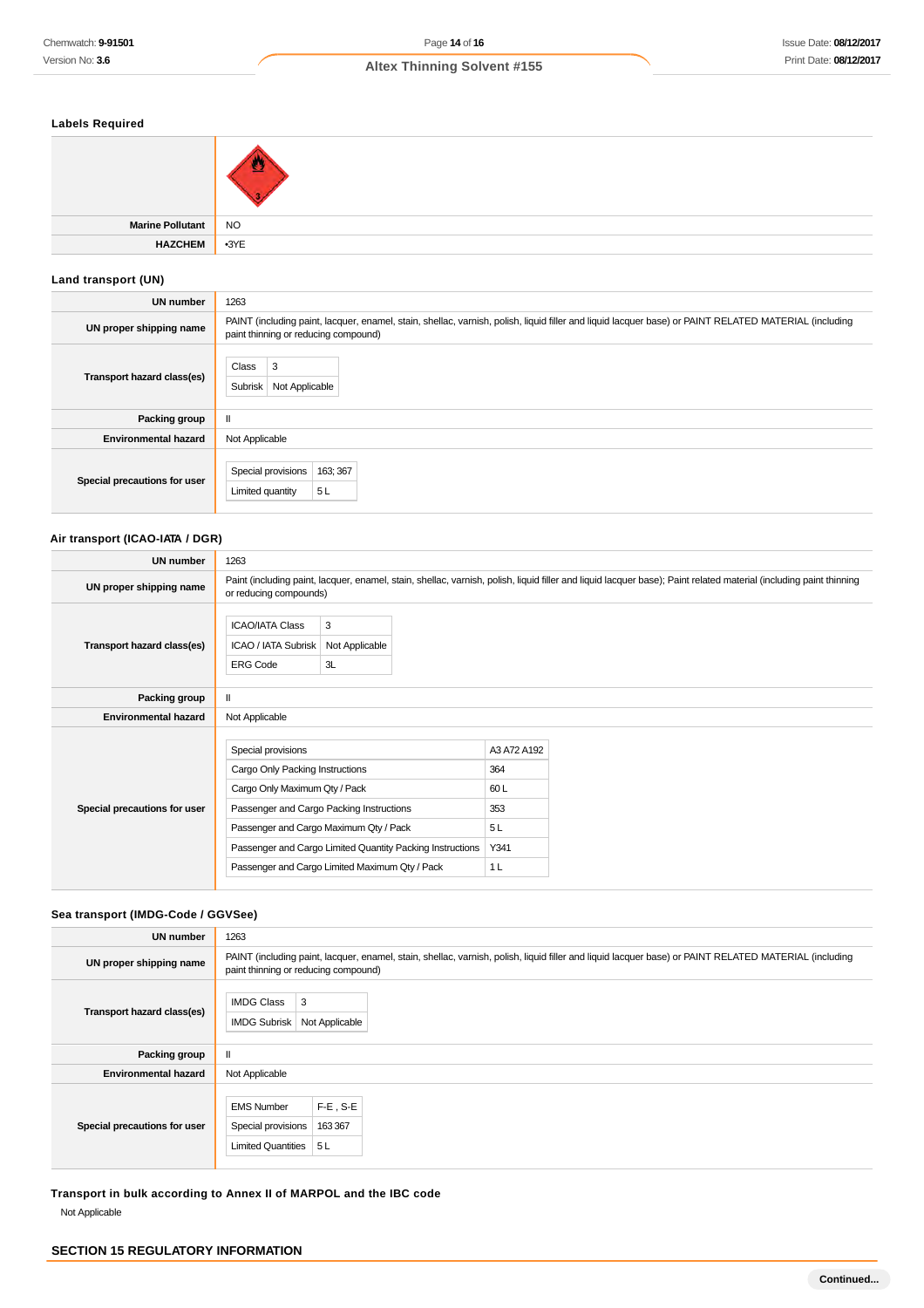# **Labels Required**

| <b>Marine Pollutant</b> | $\overline{\phantom{a}}$ NO |
|-------------------------|-----------------------------|
| <b>HAZCHEM</b>          | $-3YE$                      |

# **Land transport (UN)**

| <b>UN number</b>             | 1263                                                                                                                                                                                          |  |  |
|------------------------------|-----------------------------------------------------------------------------------------------------------------------------------------------------------------------------------------------|--|--|
| UN proper shipping name      | PAINT (including paint, lacquer, enamel, stain, shellac, varnish, polish, liquid filler and liquid lacquer base) or PAINT RELATED MATERIAL (including<br>paint thinning or reducing compound) |  |  |
| Transport hazard class(es)   | Class<br>3<br>Subrisk<br>Not Applicable                                                                                                                                                       |  |  |
| Packing group                | $\mathbf{I}$                                                                                                                                                                                  |  |  |
| <b>Environmental hazard</b>  | Not Applicable                                                                                                                                                                                |  |  |
| Special precautions for user | Special provisions<br>163; 367<br>5L<br>Limited quantity                                                                                                                                      |  |  |

# **Air transport (ICAO-IATA / DGR)**

| <b>UN number</b>             | 1263                                                                                                                                                                                         |                                                                                                             |                                                                  |  |
|------------------------------|----------------------------------------------------------------------------------------------------------------------------------------------------------------------------------------------|-------------------------------------------------------------------------------------------------------------|------------------------------------------------------------------|--|
| UN proper shipping name      | Paint (including paint, lacquer, enamel, stain, shellac, varnish, polish, liquid filler and liquid lacquer base); Paint related material (including paint thinning<br>or reducing compounds) |                                                                                                             |                                                                  |  |
| Transport hazard class(es)   | <b>ICAO/IATA Class</b><br>ICAO / IATA Subrisk<br><b>ERG Code</b>                                                                                                                             | 3<br>Not Applicable<br>3L                                                                                   |                                                                  |  |
| Packing group                | $\mathbf{H}$                                                                                                                                                                                 |                                                                                                             |                                                                  |  |
| <b>Environmental hazard</b>  | Not Applicable                                                                                                                                                                               |                                                                                                             |                                                                  |  |
| Special precautions for user | Special provisions<br>Cargo Only Packing Instructions<br>Cargo Only Maximum Qty / Pack<br>Passenger and Cargo Packing Instructions<br>Passenger and Cargo Maximum Qty / Pack                 | Passenger and Cargo Limited Quantity Packing Instructions<br>Passenger and Cargo Limited Maximum Qty / Pack | A3 A72 A192<br>364<br>60L<br>353<br>5L<br>Y341<br>1 <sub>L</sub> |  |

# **Sea transport (IMDG-Code / GGVSee)**

| <b>UN number</b>             | 1263                                                                                                                                                                                          |  |  |
|------------------------------|-----------------------------------------------------------------------------------------------------------------------------------------------------------------------------------------------|--|--|
| UN proper shipping name      | PAINT (including paint, lacquer, enamel, stain, shellac, varnish, polish, liquid filler and liquid lacquer base) or PAINT RELATED MATERIAL (including<br>paint thinning or reducing compound) |  |  |
| Transport hazard class(es)   | 3<br><b>IMDG Class</b><br>Not Applicable<br><b>IMDG Subrisk</b>                                                                                                                               |  |  |
| Packing group                | $\mathbf{I}$                                                                                                                                                                                  |  |  |
| <b>Environmental hazard</b>  | Not Applicable                                                                                                                                                                                |  |  |
| Special precautions for user | $F-E$ , S-E<br><b>EMS Number</b><br>163 367<br>Special provisions<br>Limited Quantities   5 L                                                                                                 |  |  |

**Transport in bulk according to Annex II of MARPOL and the IBC code** Not Applicable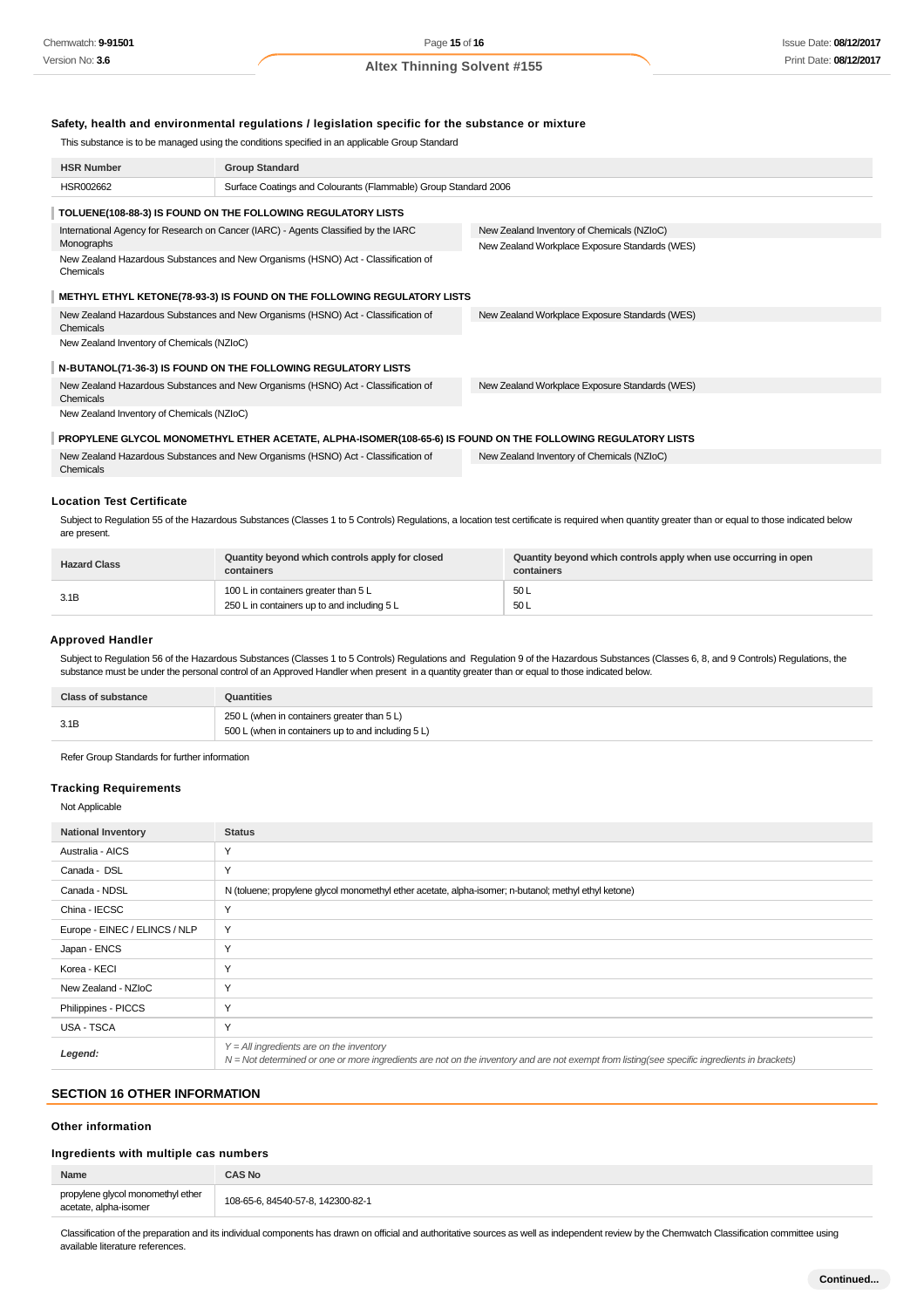## **Safety, health and environmental regulations / legislation specific for the substance or mixture**

This substance is to be managed using the conditions specified in an applicable Group Standard

| <b>HSR Number</b>                                                                                            | <b>Group Standard</b>                                                             |                                                |
|--------------------------------------------------------------------------------------------------------------|-----------------------------------------------------------------------------------|------------------------------------------------|
| HSR002662                                                                                                    | Surface Coatings and Colourants (Flammable) Group Standard 2006                   |                                                |
|                                                                                                              | TOLUENE(108-88-3) IS FOUND ON THE FOLLOWING REGULATORY LISTS                      |                                                |
| International Agency for Research on Cancer (IARC) - Agents Classified by the IARC                           |                                                                                   | New Zealand Inventory of Chemicals (NZIoC)     |
| Monographs                                                                                                   |                                                                                   | New Zealand Workplace Exposure Standards (WES) |
| New Zealand Hazardous Substances and New Organisms (HSNO) Act - Classification of<br>Chemicals               |                                                                                   |                                                |
| METHYL ETHYL KETONE(78-93-3) IS FOUND ON THE FOLLOWING REGULATORY LISTS                                      |                                                                                   |                                                |
| New Zealand Hazardous Substances and New Organisms (HSNO) Act - Classification of<br>Chemicals               |                                                                                   | New Zealand Workplace Exposure Standards (WES) |
| New Zealand Inventory of Chemicals (NZIoC)                                                                   |                                                                                   |                                                |
|                                                                                                              | N-BUTANOL(71-36-3) IS FOUND ON THE FOLLOWING REGULATORY LISTS                     |                                                |
| New Zealand Hazardous Substances and New Organisms (HSNO) Act - Classification of<br>Chemicals               |                                                                                   | New Zealand Workplace Exposure Standards (WES) |
| New Zealand Inventory of Chemicals (NZIoC)                                                                   |                                                                                   |                                                |
| PROPYLENE GLYCOL MONOMETHYL ETHER ACETATE, ALPHA-ISOMER(108-65-6) IS FOUND ON THE FOLLOWING REGULATORY LISTS |                                                                                   |                                                |
| Chemicals                                                                                                    | New Zealand Hazardous Substances and New Organisms (HSNO) Act - Classification of | New Zealand Inventory of Chemicals (NZIoC)     |

# **Location Test Certificate**

Subject to Regulation 55 of the Hazardous Substances (Classes 1 to 5 Controls) Regulations, a location test certificate is required when quantity greater than or equal to those indicated below are present.

| <b>Hazard Class</b> | Quantity beyond which controls apply for closed<br>containers | Quantity beyond which controls apply when use occurring in open<br>containers |
|---------------------|---------------------------------------------------------------|-------------------------------------------------------------------------------|
| 3.1B                | 100 L in containers greater than 5 L                          | 50L                                                                           |
|                     | 250 L in containers up to and including 5 L                   | 50L                                                                           |

### **Approved Handler**

Subject to Regulation 56 of the Hazardous Substances (Classes 1 to 5 Controls) Regulations and Regulation 9 of the Hazardous Substances (Classes 6, 8, and 9 Controls) Regulations, the substance must be under the personal control of an Approved Handler when present in a quantity greater than or equal to those indicated below.

| <b>Class of substance</b> | Quantities                                         |
|---------------------------|----------------------------------------------------|
| 3.1B                      | 250 L (when in containers greater than 5 L)        |
|                           | 500 L (when in containers up to and including 5 L) |

Refer Group Standards for further information

## **Tracking Requirements**

## Not Applicable

| <b>National Inventory</b>     | <b>Status</b>                                                                                                                                                                              |
|-------------------------------|--------------------------------------------------------------------------------------------------------------------------------------------------------------------------------------------|
| Australia - AICS              | Υ                                                                                                                                                                                          |
| Canada - DSL                  | Y                                                                                                                                                                                          |
| Canada - NDSL                 | N (toluene; propylene glycol monomethyl ether acetate, alpha-isomer; n-butanol; methyl ethyl ketone)                                                                                       |
| China - IECSC                 | $\vee$                                                                                                                                                                                     |
| Europe - EINEC / ELINCS / NLP | Y                                                                                                                                                                                          |
| Japan - ENCS                  | Y                                                                                                                                                                                          |
| Korea - KECI                  | Υ                                                                                                                                                                                          |
| New Zealand - NZIoC           | Υ                                                                                                                                                                                          |
| Philippines - PICCS           | Y                                                                                                                                                                                          |
| USA - TSCA                    | Υ                                                                                                                                                                                          |
| Legend:                       | $Y = All$ ingredients are on the inventory<br>N = Not determined or one or more ingredients are not on the inventory and are not exempt from listing(see specific ingredients in brackets) |

# **SECTION 16 OTHER INFORMATION**

# **Other information**

# **Ingredients with multiple cas numbers**

| Name                                                       | AS No                             |
|------------------------------------------------------------|-----------------------------------|
| propylene glycol monomethyl ether<br>acetate, alpha-isomer | 108-65-6, 84540-57-8, 142300-82-1 |
|                                                            |                                   |

Classification of the preparation and its individual components has drawn on official and authoritative sources as well as independent review by the Chemwatch Classification committee using available literature references.